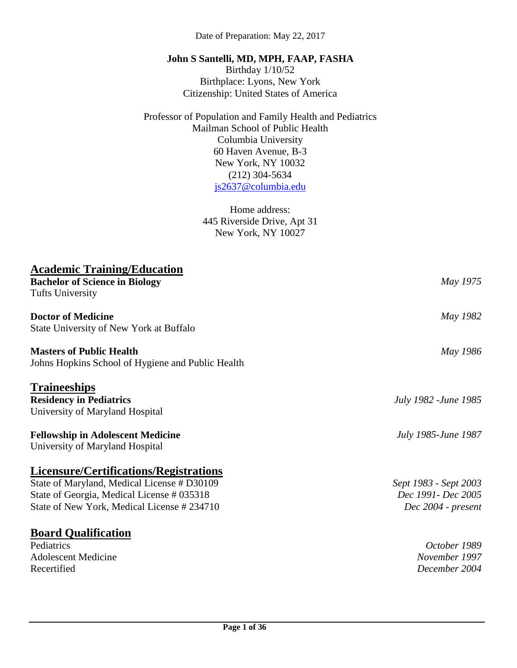Date of Preparation: May 22, 2017

#### **John S Santelli, MD, MPH, FAAP, FASHA**

Birthday 1/10/52 Birthplace: Lyons, New York Citizenship: United States of America

Professor of Population and Family Health and Pediatrics Mailman School of Public Health Columbia University 60 Haven Avenue, B-3 New York, NY 10032 (212) 304-5634 [js2637@columbia.edu](mailto:js2637@columbia.edu)

> Home address: 445 Riverside Drive, Apt 31 New York, NY 10027

| May 1975              |
|-----------------------|
|                       |
| May 1982              |
|                       |
| May 1986              |
|                       |
|                       |
| July 1982 - June 1985 |
|                       |
| July 1985-June 1987   |
|                       |
|                       |
| Sept 1983 - Sept 2003 |
| Dec 1991- Dec 2005    |
| Dec 2004 - present    |
|                       |
| October 1989          |
| November 1997         |
| December 2004         |
|                       |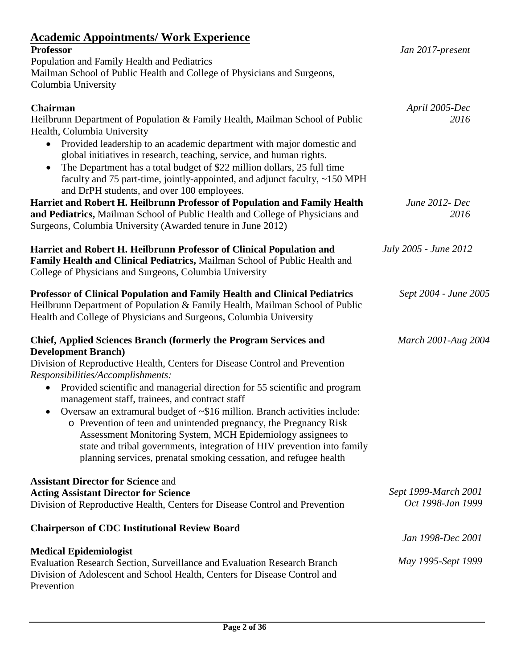# **Academic Appointments/ Work Experience**

| <u><b>Teauchne Tepponiuments</b> Work Experience</u><br><b>Professor</b>                | Jan 2017-present      |
|-----------------------------------------------------------------------------------------|-----------------------|
| Population and Family Health and Pediatrics                                             |                       |
| Mailman School of Public Health and College of Physicians and Surgeons,                 |                       |
| Columbia University                                                                     |                       |
| Chairman                                                                                | April 2005-Dec        |
| Heilbrunn Department of Population & Family Health, Mailman School of Public            | 2016                  |
| Health, Columbia University                                                             |                       |
| Provided leadership to an academic department with major domestic and<br>$\bullet$      |                       |
| global initiatives in research, teaching, service, and human rights.                    |                       |
| The Department has a total budget of \$22 million dollars, 25 full time                 |                       |
| faculty and 75 part-time, jointly-appointed, and adjunct faculty, ~150 MPH              |                       |
| and DrPH students, and over 100 employees.                                              |                       |
| Harriet and Robert H. Heilbrunn Professor of Population and Family Health               | June 2012- Dec        |
| and Pediatrics, Mailman School of Public Health and College of Physicians and           | 2016                  |
| Surgeons, Columbia University (Awarded tenure in June 2012)                             |                       |
| Harriet and Robert H. Heilbrunn Professor of Clinical Population and                    | July 2005 - June 2012 |
| Family Health and Clinical Pediatrics, Mailman School of Public Health and              |                       |
| College of Physicians and Surgeons, Columbia University                                 |                       |
|                                                                                         |                       |
| Professor of Clinical Population and Family Health and Clinical Pediatrics              | Sept 2004 - June 2005 |
| Heilbrunn Department of Population & Family Health, Mailman School of Public            |                       |
| Health and College of Physicians and Surgeons, Columbia University                      |                       |
| <b>Chief, Applied Sciences Branch (formerly the Program Services and</b>                | March 2001-Aug 2004   |
| <b>Development Branch</b> )                                                             |                       |
| Division of Reproductive Health, Centers for Disease Control and Prevention             |                       |
| Responsibilities/Accomplishments:                                                       |                       |
| Provided scientific and managerial direction for 55 scientific and program<br>$\bullet$ |                       |
| management staff, trainees, and contract staff                                          |                       |
| Oversaw an extramural budget of ~\$16 million. Branch activities include:               |                       |
| o Prevention of teen and unintended pregnancy, the Pregnancy Risk                       |                       |
| Assessment Monitoring System, MCH Epidemiology assignees to                             |                       |
| state and tribal governments, integration of HIV prevention into family                 |                       |
| planning services, prenatal smoking cessation, and refugee health                       |                       |
| <b>Assistant Director for Science and</b>                                               |                       |
| <b>Acting Assistant Director for Science</b>                                            | Sept 1999-March 2001  |
| Division of Reproductive Health, Centers for Disease Control and Prevention             | Oct 1998-Jan 1999     |
| <b>Chairperson of CDC Institutional Review Board</b>                                    |                       |
|                                                                                         | Jan 1998-Dec 2001     |
| <b>Medical Epidemiologist</b>                                                           |                       |
| Evaluation Research Section, Surveillance and Evaluation Research Branch                | May 1995-Sept 1999    |
| Division of Adolescent and School Health, Centers for Disease Control and               |                       |
| Prevention                                                                              |                       |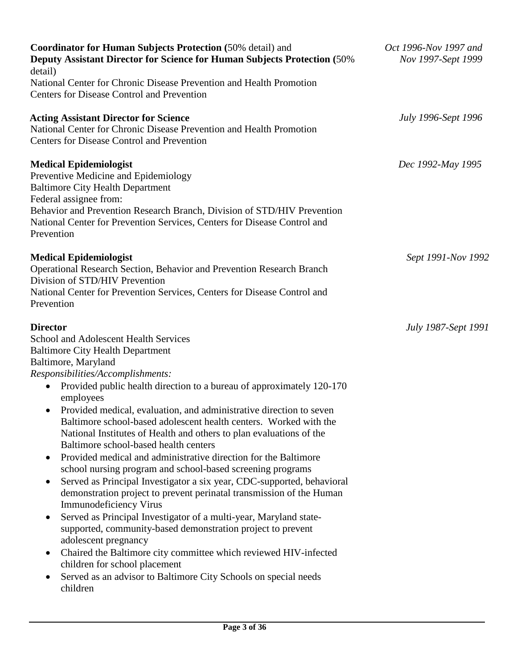| <b>Coordinator for Human Subjects Protection (50% detail) and</b><br><b>Deputy Assistant Director for Science for Human Subjects Protection (50%)</b><br>detail)                                                                                                                                                | Oct 1996-Nov 1997 and<br>Nov 1997-Sept 1999 |
|-----------------------------------------------------------------------------------------------------------------------------------------------------------------------------------------------------------------------------------------------------------------------------------------------------------------|---------------------------------------------|
| National Center for Chronic Disease Prevention and Health Promotion                                                                                                                                                                                                                                             |                                             |
| <b>Centers for Disease Control and Prevention</b>                                                                                                                                                                                                                                                               |                                             |
| <b>Acting Assistant Director for Science</b><br>National Center for Chronic Disease Prevention and Health Promotion<br><b>Centers for Disease Control and Prevention</b>                                                                                                                                        | <b>July 1996-Sept 1996</b>                  |
| <b>Medical Epidemiologist</b><br>Preventive Medicine and Epidemiology<br><b>Baltimore City Health Department</b><br>Federal assignee from:<br>Behavior and Prevention Research Branch, Division of STD/HIV Prevention<br>National Center for Prevention Services, Centers for Disease Control and<br>Prevention | Dec 1992-May 1995                           |
| <b>Medical Epidemiologist</b><br>Operational Research Section, Behavior and Prevention Research Branch<br>Division of STD/HIV Prevention<br>National Center for Prevention Services, Centers for Disease Control and<br>Prevention                                                                              | Sept 1991-Nov 1992                          |
| <b>Director</b>                                                                                                                                                                                                                                                                                                 | July 1987-Sept 1991                         |
| School and Adolescent Health Services                                                                                                                                                                                                                                                                           |                                             |
| <b>Baltimore City Health Department</b>                                                                                                                                                                                                                                                                         |                                             |
| Baltimore, Maryland                                                                                                                                                                                                                                                                                             |                                             |
| Responsibilities/Accomplishments:                                                                                                                                                                                                                                                                               |                                             |
| Provided public health direction to a bureau of approximately 120-170<br>$\bullet$                                                                                                                                                                                                                              |                                             |
| employees<br>Provided medical, evaluation, and administrative direction to seven<br>$\bullet$<br>Baltimore school-based adolescent health centers. Worked with the<br>National Institutes of Health and others to plan evaluations of the<br>Baltimore school-based health centers                              |                                             |
| Provided medical and administrative direction for the Baltimore<br>$\bullet$                                                                                                                                                                                                                                    |                                             |
| school nursing program and school-based screening programs                                                                                                                                                                                                                                                      |                                             |
| Served as Principal Investigator a six year, CDC-supported, behavioral<br>٠<br>demonstration project to prevent perinatal transmission of the Human<br><b>Immunodeficiency Virus</b>                                                                                                                            |                                             |
| Served as Principal Investigator of a multi-year, Maryland state-<br>$\bullet$<br>supported, community-based demonstration project to prevent<br>adolescent pregnancy                                                                                                                                           |                                             |
| Chaired the Baltimore city committee which reviewed HIV-infected<br>٠<br>children for school placement                                                                                                                                                                                                          |                                             |
| Served as an advisor to Baltimore City Schools on special needs<br>٠<br>children                                                                                                                                                                                                                                |                                             |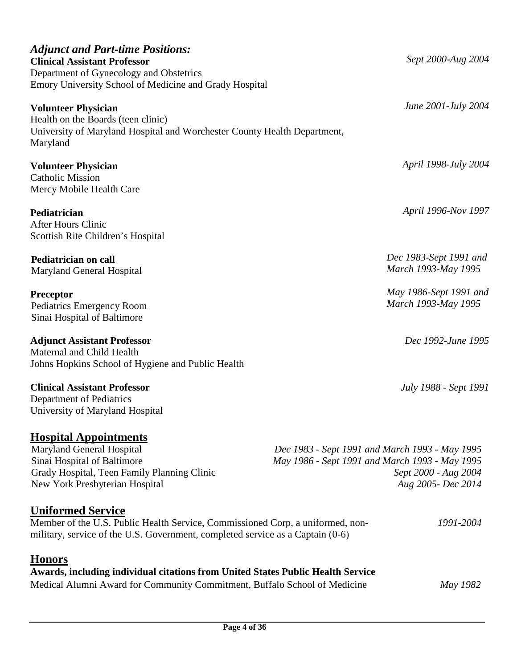| <b>Adjunct and Part-time Positions:</b><br><b>Clinical Assistant Professor</b><br>Department of Gynecology and Obstetrics<br>Emory University School of Medicine and Grady Hospital          | Sept 2000-Aug 2004                                                                                                                             |
|----------------------------------------------------------------------------------------------------------------------------------------------------------------------------------------------|------------------------------------------------------------------------------------------------------------------------------------------------|
| <b>Volunteer Physician</b><br>Health on the Boards (teen clinic)<br>University of Maryland Hospital and Worchester County Health Department,<br>Maryland                                     | June 2001-July 2004                                                                                                                            |
| <b>Volunteer Physician</b><br><b>Catholic Mission</b><br>Mercy Mobile Health Care                                                                                                            | April 1998-July 2004                                                                                                                           |
| Pediatrician<br>After Hours Clinic<br>Scottish Rite Children's Hospital                                                                                                                      | April 1996-Nov 1997                                                                                                                            |
| Pediatrician on call<br>Maryland General Hospital                                                                                                                                            | Dec 1983-Sept 1991 and<br>March 1993-May 1995                                                                                                  |
| Preceptor<br>Pediatrics Emergency Room<br>Sinai Hospital of Baltimore                                                                                                                        | May 1986-Sept 1991 and<br>March 1993-May 1995                                                                                                  |
| <b>Adjunct Assistant Professor</b><br>Maternal and Child Health<br>Johns Hopkins School of Hygiene and Public Health                                                                         | Dec 1992-June 1995                                                                                                                             |
| <b>Clinical Assistant Professor</b><br>Department of Pediatrics<br>University of Maryland Hospital                                                                                           | July 1988 - Sept 1991                                                                                                                          |
| <b>Hospital Appointments</b><br>Maryland General Hospital<br>Sinai Hospital of Baltimore<br>Grady Hospital, Teen Family Planning Clinic<br>New York Presbyterian Hospital                    | Dec 1983 - Sept 1991 and March 1993 - May 1995<br>May 1986 - Sept 1991 and March 1993 - May 1995<br>Sept 2000 - Aug 2004<br>Aug 2005- Dec 2014 |
| <b>Uniformed Service</b><br>Member of the U.S. Public Health Service, Commissioned Corp, a uniformed, non-<br>military, service of the U.S. Government, completed service as a Captain (0-6) | 1991-2004                                                                                                                                      |
| <b>Honors</b><br>Awards, including individual citations from United States Public Health Service                                                                                             |                                                                                                                                                |

Medical Alumni Award for Community Commitment, Buffalo School of Medicine *May 1982*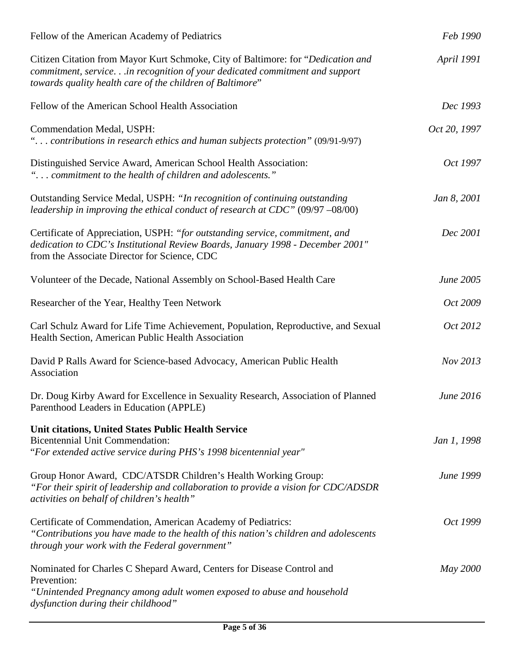| Fellow of the American Academy of Pediatrics                                                                                                                                                                                | Feb 1990          |
|-----------------------------------------------------------------------------------------------------------------------------------------------------------------------------------------------------------------------------|-------------------|
| Citizen Citation from Mayor Kurt Schmoke, City of Baltimore: for "Dedication and<br>commitment, servicein recognition of your dedicated commitment and support<br>towards quality health care of the children of Baltimore" | <b>April 1991</b> |
| Fellow of the American School Health Association                                                                                                                                                                            | Dec 1993          |
| Commendation Medal, USPH:<br>" contributions in research ethics and human subjects protection" (09/91-9/97)                                                                                                                 | Oct 20, 1997      |
| Distinguished Service Award, American School Health Association:<br>" commitment to the health of children and adolescents."                                                                                                | Oct 1997          |
| Outstanding Service Medal, USPH: "In recognition of continuing outstanding<br>leadership in improving the ethical conduct of research at $CDC$ " (09/97 -08/00)                                                             | Jan 8, 2001       |
| Certificate of Appreciation, USPH: "for outstanding service, commitment, and<br>dedication to CDC's Institutional Review Boards, January 1998 - December 2001"<br>from the Associate Director for Science, CDC              | Dec 2001          |
| Volunteer of the Decade, National Assembly on School-Based Health Care                                                                                                                                                      | June 2005         |
| Researcher of the Year, Healthy Teen Network                                                                                                                                                                                | Oct 2009          |
| Carl Schulz Award for Life Time Achievement, Population, Reproductive, and Sexual<br>Health Section, American Public Health Association                                                                                     | Oct 2012          |
| David P Ralls Award for Science-based Advocacy, American Public Health<br>Association                                                                                                                                       | Nov 2013          |
| Dr. Doug Kirby Award for Excellence in Sexuality Research, Association of Planned<br>Parenthood Leaders in Education (APPLE)                                                                                                | June 2016         |
| Unit citations, United States Public Health Service<br><b>Bicentennial Unit Commendation:</b><br>"For extended active service during PHS's 1998 bicentennial year"                                                          | Jan 1, 1998       |
| Group Honor Award, CDC/ATSDR Children's Health Working Group:<br>"For their spirit of leadership and collaboration to provide a vision for CDC/ADSDR<br>activities on behalf of children's health"                          | June 1999         |
| Certificate of Commendation, American Academy of Pediatrics:<br>"Contributions you have made to the health of this nation's children and adolescents<br>through your work with the Federal government"                      | Oct 1999          |
| Nominated for Charles C Shepard Award, Centers for Disease Control and<br>Prevention:<br>"Unintended Pregnancy among adult women exposed to abuse and household<br>dysfunction during their childhood"                      | May 2000          |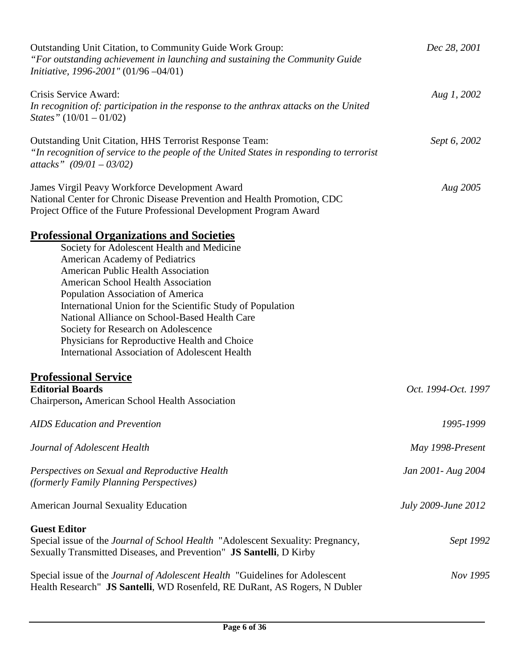| Outstanding Unit Citation, to Community Guide Work Group:<br>"For outstanding achievement in launching and sustaining the Community Guide<br>Initiative, 1996-2001" (01/96 -04/01)                                                                                                                                                                                                                                                                                                                                      | Dec 28, 2001        |
|-------------------------------------------------------------------------------------------------------------------------------------------------------------------------------------------------------------------------------------------------------------------------------------------------------------------------------------------------------------------------------------------------------------------------------------------------------------------------------------------------------------------------|---------------------|
| Crisis Service Award:<br>In recognition of: participation in the response to the anthrax attacks on the United<br><i>States</i> " $(10/01 - 01/02)$                                                                                                                                                                                                                                                                                                                                                                     | Aug 1, 2002         |
| Outstanding Unit Citation, HHS Terrorist Response Team:<br>"In recognition of service to the people of the United States in responding to terrorist<br>attacks" $(09/01 - 03/02)$                                                                                                                                                                                                                                                                                                                                       | Sept 6, 2002        |
| James Virgil Peavy Workforce Development Award<br>National Center for Chronic Disease Prevention and Health Promotion, CDC<br>Project Office of the Future Professional Development Program Award                                                                                                                                                                                                                                                                                                                       | Aug 2005            |
| <b>Professional Organizations and Societies</b><br>Society for Adolescent Health and Medicine<br>American Academy of Pediatrics<br><b>American Public Health Association</b><br>American School Health Association<br>Population Association of America<br>International Union for the Scientific Study of Population<br>National Alliance on School-Based Health Care<br>Society for Research on Adolescence<br>Physicians for Reproductive Health and Choice<br><b>International Association of Adolescent Health</b> |                     |
| <b>Professional Service</b><br><b>Editorial Boards</b><br>Chairperson, American School Health Association                                                                                                                                                                                                                                                                                                                                                                                                               | Oct. 1994-Oct. 1997 |
| <b>AIDS</b> Education and Prevention                                                                                                                                                                                                                                                                                                                                                                                                                                                                                    | 1995-1999           |
| Journal of Adolescent Health                                                                                                                                                                                                                                                                                                                                                                                                                                                                                            | May 1998-Present    |
| Perspectives on Sexual and Reproductive Health<br>(formerly Family Planning Perspectives)                                                                                                                                                                                                                                                                                                                                                                                                                               | Jan 2001 - Aug 2004 |
| <b>American Journal Sexuality Education</b>                                                                                                                                                                                                                                                                                                                                                                                                                                                                             | July 2009-June 2012 |
| <b>Guest Editor</b><br>Special issue of the <i>Journal of School Health</i> "Adolescent Sexuality: Pregnancy,<br>Sexually Transmitted Diseases, and Prevention" JS Santelli, D Kirby                                                                                                                                                                                                                                                                                                                                    | Sept 1992           |
| Special issue of the <i>Journal of Adolescent Health</i> "Guidelines for Adolescent<br>Health Research" JS Santelli, WD Rosenfeld, RE DuRant, AS Rogers, N Dubler                                                                                                                                                                                                                                                                                                                                                       | Nov 1995            |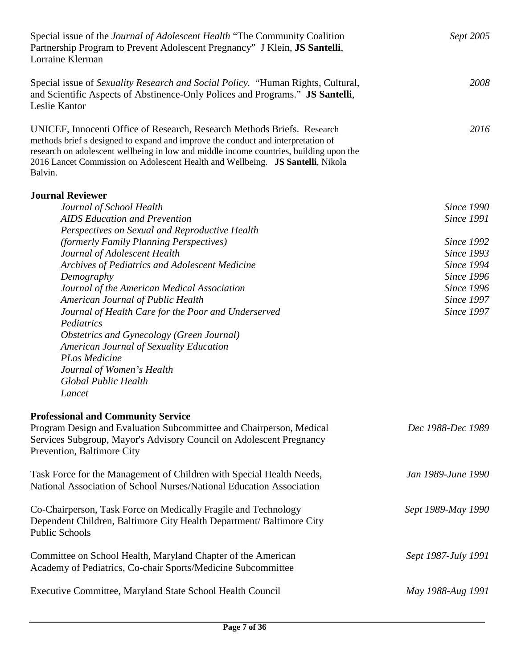| Special issue of the <i>Journal of Adolescent Health</i> "The Community Coalition"<br>Partnership Program to Prevent Adolescent Pregnancy" J Klein, JS Santelli,<br>Lorraine Klerman                                                                                                                                                               | Sept 2005           |
|----------------------------------------------------------------------------------------------------------------------------------------------------------------------------------------------------------------------------------------------------------------------------------------------------------------------------------------------------|---------------------|
| Special issue of <i>Sexuality Research and Social Policy.</i> "Human Rights, Cultural,<br>and Scientific Aspects of Abstinence-Only Polices and Programs." <b>JS Santelli</b> ,<br>Leslie Kantor                                                                                                                                                   | 2008                |
| UNICEF, Innocenti Office of Research, Research Methods Briefs. Research<br>methods brief s designed to expand and improve the conduct and interpretation of<br>research on adolescent wellbeing in low and middle income countries, building upon the<br>2016 Lancet Commission on Adolescent Health and Wellbeing. JS Santelli, Nikola<br>Balvin. | 2016                |
| <b>Journal Reviewer</b>                                                                                                                                                                                                                                                                                                                            |                     |
| Journal of School Health                                                                                                                                                                                                                                                                                                                           | <b>Since 1990</b>   |
| <b>AIDS</b> Education and Prevention                                                                                                                                                                                                                                                                                                               | <b>Since 1991</b>   |
| Perspectives on Sexual and Reproductive Health                                                                                                                                                                                                                                                                                                     |                     |
| (formerly Family Planning Perspectives)                                                                                                                                                                                                                                                                                                            | <b>Since 1992</b>   |
| Journal of Adolescent Health                                                                                                                                                                                                                                                                                                                       | <b>Since 1993</b>   |
| Archives of Pediatrics and Adolescent Medicine                                                                                                                                                                                                                                                                                                     | <b>Since 1994</b>   |
| Demography                                                                                                                                                                                                                                                                                                                                         | <b>Since 1996</b>   |
| Journal of the American Medical Association                                                                                                                                                                                                                                                                                                        | <b>Since 1996</b>   |
| <b>American Journal of Public Health</b>                                                                                                                                                                                                                                                                                                           | <b>Since 1997</b>   |
| Journal of Health Care for the Poor and Underserved                                                                                                                                                                                                                                                                                                | <b>Since 1997</b>   |
| Pediatrics                                                                                                                                                                                                                                                                                                                                         |                     |
| Obstetrics and Gynecology (Green Journal)                                                                                                                                                                                                                                                                                                          |                     |
| American Journal of Sexuality Education<br><b>PLos Medicine</b>                                                                                                                                                                                                                                                                                    |                     |
| Journal of Women's Health                                                                                                                                                                                                                                                                                                                          |                     |
| <b>Global Public Health</b>                                                                                                                                                                                                                                                                                                                        |                     |
| Lancet                                                                                                                                                                                                                                                                                                                                             |                     |
|                                                                                                                                                                                                                                                                                                                                                    |                     |
| <b>Professional and Community Service</b>                                                                                                                                                                                                                                                                                                          |                     |
| Program Design and Evaluation Subcommittee and Chairperson, Medical<br>Services Subgroup, Mayor's Advisory Council on Adolescent Pregnancy<br>Prevention, Baltimore City                                                                                                                                                                           | Dec 1988-Dec 1989   |
| Task Force for the Management of Children with Special Health Needs,<br>National Association of School Nurses/National Education Association                                                                                                                                                                                                       | Jan 1989-June 1990  |
| Co-Chairperson, Task Force on Medically Fragile and Technology<br>Dependent Children, Baltimore City Health Department/ Baltimore City<br><b>Public Schools</b>                                                                                                                                                                                    | Sept 1989-May 1990  |
| Committee on School Health, Maryland Chapter of the American<br>Academy of Pediatrics, Co-chair Sports/Medicine Subcommittee                                                                                                                                                                                                                       | Sept 1987-July 1991 |
| Executive Committee, Maryland State School Health Council                                                                                                                                                                                                                                                                                          | May 1988-Aug 1991   |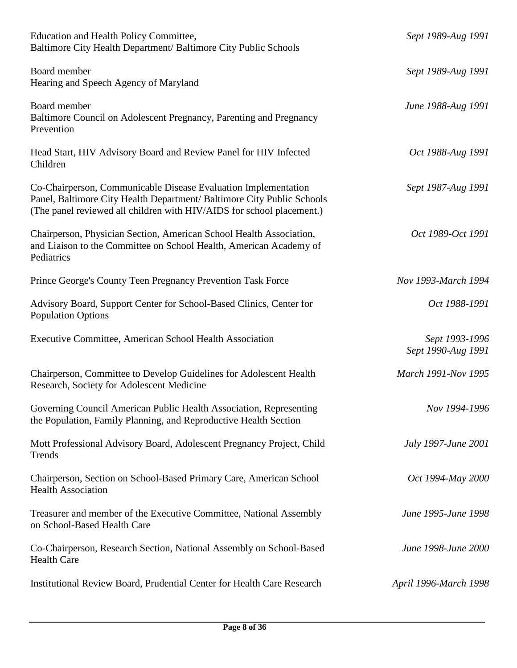| Education and Health Policy Committee,<br>Baltimore City Health Department/ Baltimore City Public Schools                                                                                                         | Sept 1989-Aug 1991                   |
|-------------------------------------------------------------------------------------------------------------------------------------------------------------------------------------------------------------------|--------------------------------------|
| Board member<br>Hearing and Speech Agency of Maryland                                                                                                                                                             | Sept 1989-Aug 1991                   |
| Board member<br>Baltimore Council on Adolescent Pregnancy, Parenting and Pregnancy<br>Prevention                                                                                                                  | June 1988-Aug 1991                   |
| Head Start, HIV Advisory Board and Review Panel for HIV Infected<br>Children                                                                                                                                      | Oct 1988-Aug 1991                    |
| Co-Chairperson, Communicable Disease Evaluation Implementation<br>Panel, Baltimore City Health Department/ Baltimore City Public Schools<br>(The panel reviewed all children with HIV/AIDS for school placement.) | Sept 1987-Aug 1991                   |
| Chairperson, Physician Section, American School Health Association,<br>and Liaison to the Committee on School Health, American Academy of<br>Pediatrics                                                           | Oct 1989-Oct 1991                    |
| Prince George's County Teen Pregnancy Prevention Task Force                                                                                                                                                       | Nov 1993-March 1994                  |
| Advisory Board, Support Center for School-Based Clinics, Center for<br><b>Population Options</b>                                                                                                                  | Oct 1988-1991                        |
| Executive Committee, American School Health Association                                                                                                                                                           | Sept 1993-1996<br>Sept 1990-Aug 1991 |
| Chairperson, Committee to Develop Guidelines for Adolescent Health<br>Research, Society for Adolescent Medicine                                                                                                   | March 1991-Nov 1995                  |
| Governing Council American Public Health Association, Representing<br>the Population, Family Planning, and Reproductive Health Section                                                                            | Nov 1994-1996                        |
| Mott Professional Advisory Board, Adolescent Pregnancy Project, Child<br>Trends                                                                                                                                   | July 1997-June 2001                  |
| Chairperson, Section on School-Based Primary Care, American School<br><b>Health Association</b>                                                                                                                   | Oct 1994-May 2000                    |
| Treasurer and member of the Executive Committee, National Assembly<br>on School-Based Health Care                                                                                                                 | June 1995-June 1998                  |
| Co-Chairperson, Research Section, National Assembly on School-Based<br><b>Health Care</b>                                                                                                                         | June 1998-June 2000                  |
| Institutional Review Board, Prudential Center for Health Care Research                                                                                                                                            | April 1996-March 1998                |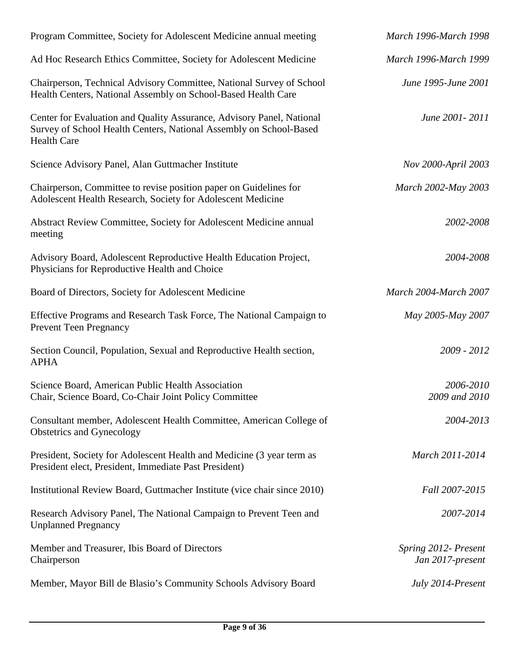| Program Committee, Society for Adolescent Medicine annual meeting                                                                                                 | <b>March 1996-March 1998</b>             |
|-------------------------------------------------------------------------------------------------------------------------------------------------------------------|------------------------------------------|
| Ad Hoc Research Ethics Committee, Society for Adolescent Medicine                                                                                                 | March 1996-March 1999                    |
| Chairperson, Technical Advisory Committee, National Survey of School<br>Health Centers, National Assembly on School-Based Health Care                             | June 1995-June 2001                      |
| Center for Evaluation and Quality Assurance, Advisory Panel, National<br>Survey of School Health Centers, National Assembly on School-Based<br><b>Health Care</b> | June 2001 - 2011                         |
| Science Advisory Panel, Alan Guttmacher Institute                                                                                                                 | Nov 2000-April 2003                      |
| Chairperson, Committee to revise position paper on Guidelines for<br>Adolescent Health Research, Society for Adolescent Medicine                                  | March 2002-May 2003                      |
| Abstract Review Committee, Society for Adolescent Medicine annual<br>meeting                                                                                      | 2002-2008                                |
| Advisory Board, Adolescent Reproductive Health Education Project,<br>Physicians for Reproductive Health and Choice                                                | 2004-2008                                |
| Board of Directors, Society for Adolescent Medicine                                                                                                               | <b>March 2004-March 2007</b>             |
| Effective Programs and Research Task Force, The National Campaign to<br><b>Prevent Teen Pregnancy</b>                                                             | May 2005-May 2007                        |
| Section Council, Population, Sexual and Reproductive Health section,<br><b>APHA</b>                                                                               | 2009 - 2012                              |
| Science Board, American Public Health Association<br>Chair, Science Board, Co-Chair Joint Policy Committee                                                        | 2006-2010<br>2009 and 2010               |
| Consultant member, Adolescent Health Committee, American College of<br>Obstetrics and Gynecology                                                                  | 2004-2013                                |
| President, Society for Adolescent Health and Medicine (3 year term as<br>President elect, President, Immediate Past President)                                    | March 2011-2014                          |
| Institutional Review Board, Guttmacher Institute (vice chair since 2010)                                                                                          | Fall 2007-2015                           |
| Research Advisory Panel, The National Campaign to Prevent Teen and<br><b>Unplanned Pregnancy</b>                                                                  | 2007-2014                                |
| Member and Treasurer, Ibis Board of Directors<br>Chairperson                                                                                                      | Spring 2012- Present<br>Jan 2017-present |
| Member, Mayor Bill de Blasio's Community Schools Advisory Board                                                                                                   | July 2014-Present                        |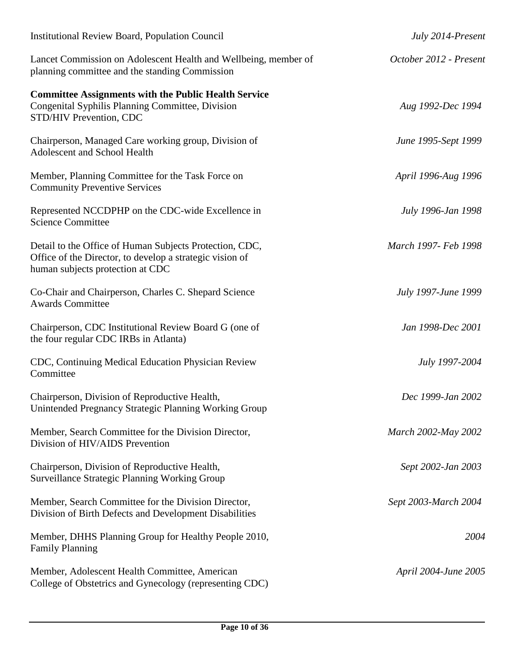| <b>Institutional Review Board, Population Council</b>                                                                                                   | July 2014-Present      |
|---------------------------------------------------------------------------------------------------------------------------------------------------------|------------------------|
| Lancet Commission on Adolescent Health and Wellbeing, member of<br>planning committee and the standing Commission                                       | October 2012 - Present |
| <b>Committee Assignments with the Public Health Service</b><br>Congenital Syphilis Planning Committee, Division<br>STD/HIV Prevention, CDC              | Aug 1992-Dec 1994      |
| Chairperson, Managed Care working group, Division of<br>Adolescent and School Health                                                                    | June 1995-Sept 1999    |
| Member, Planning Committee for the Task Force on<br><b>Community Preventive Services</b>                                                                | April 1996-Aug 1996    |
| Represented NCCDPHP on the CDC-wide Excellence in<br><b>Science Committee</b>                                                                           | July 1996-Jan 1998     |
| Detail to the Office of Human Subjects Protection, CDC,<br>Office of the Director, to develop a strategic vision of<br>human subjects protection at CDC | March 1997- Feb 1998   |
| Co-Chair and Chairperson, Charles C. Shepard Science<br><b>Awards Committee</b>                                                                         | July 1997-June 1999    |
| Chairperson, CDC Institutional Review Board G (one of<br>the four regular CDC IRBs in Atlanta)                                                          | Jan 1998-Dec 2001      |
| CDC, Continuing Medical Education Physician Review<br>Committee                                                                                         | July 1997-2004         |
| Chairperson, Division of Reproductive Health,<br>Unintended Pregnancy Strategic Planning Working Group                                                  | Dec 1999-Jan 2002      |
| Member, Search Committee for the Division Director,<br>Division of HIV/AIDS Prevention                                                                  | March 2002-May 2002    |
| Chairperson, Division of Reproductive Health,<br><b>Surveillance Strategic Planning Working Group</b>                                                   | Sept 2002-Jan 2003     |
| Member, Search Committee for the Division Director,<br>Division of Birth Defects and Development Disabilities                                           | Sept 2003-March 2004   |
| Member, DHHS Planning Group for Healthy People 2010,<br><b>Family Planning</b>                                                                          | 2004                   |
| Member, Adolescent Health Committee, American<br>College of Obstetrics and Gynecology (representing CDC)                                                | April 2004-June 2005   |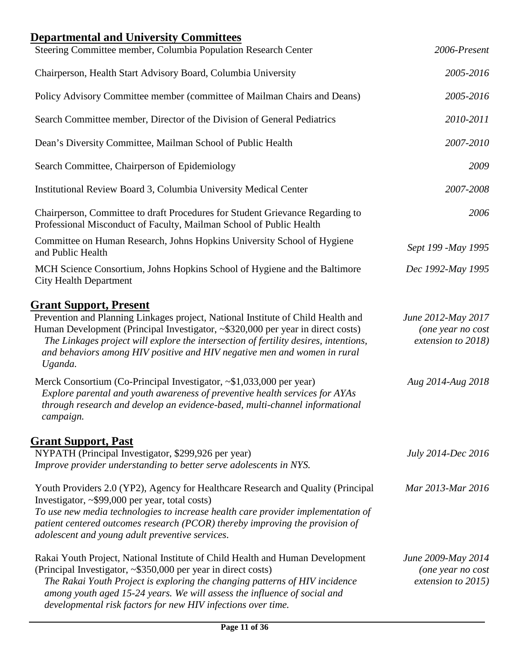| <b>Departmental and University Committees</b><br>Steering Committee member, Columbia Population Research Center                                                                                                                                                                                                                                                           | 2006-Present                                                  |
|---------------------------------------------------------------------------------------------------------------------------------------------------------------------------------------------------------------------------------------------------------------------------------------------------------------------------------------------------------------------------|---------------------------------------------------------------|
| Chairperson, Health Start Advisory Board, Columbia University                                                                                                                                                                                                                                                                                                             | 2005-2016                                                     |
|                                                                                                                                                                                                                                                                                                                                                                           |                                                               |
| Policy Advisory Committee member (committee of Mailman Chairs and Deans)                                                                                                                                                                                                                                                                                                  | 2005-2016                                                     |
| Search Committee member, Director of the Division of General Pediatrics                                                                                                                                                                                                                                                                                                   | 2010-2011                                                     |
| Dean's Diversity Committee, Mailman School of Public Health                                                                                                                                                                                                                                                                                                               | 2007-2010                                                     |
| Search Committee, Chairperson of Epidemiology                                                                                                                                                                                                                                                                                                                             | 2009                                                          |
| Institutional Review Board 3, Columbia University Medical Center                                                                                                                                                                                                                                                                                                          | 2007-2008                                                     |
| Chairperson, Committee to draft Procedures for Student Grievance Regarding to<br>Professional Misconduct of Faculty, Mailman School of Public Health                                                                                                                                                                                                                      | 2006                                                          |
| Committee on Human Research, Johns Hopkins University School of Hygiene<br>and Public Health                                                                                                                                                                                                                                                                              | Sept 199 -May 1995                                            |
| MCH Science Consortium, Johns Hopkins School of Hygiene and the Baltimore<br><b>City Health Department</b>                                                                                                                                                                                                                                                                | Dec 1992-May 1995                                             |
| <b>Grant Support, Present</b>                                                                                                                                                                                                                                                                                                                                             |                                                               |
| Prevention and Planning Linkages project, National Institute of Child Health and<br>Human Development (Principal Investigator, ~\$320,000 per year in direct costs)<br>The Linkages project will explore the intersection of fertility desires, intentions,<br>and behaviors among HIV positive and HIV negative men and women in rural<br>Uganda.                        | June 2012-May 2017<br>(one year no cost<br>extension to 2018) |
| Merck Consortium (Co-Principal Investigator, ~\$1,033,000 per year)<br>Explore parental and youth awareness of preventive health services for AYAs<br>through research and develop an evidence-based, multi-channel informational<br>campaign.                                                                                                                            | Aug 2014-Aug 2018                                             |
| <b>Grant Support, Past</b>                                                                                                                                                                                                                                                                                                                                                |                                                               |
| NYPATH (Principal Investigator, \$299,926 per year)<br>Improve provider understanding to better serve adolescents in NYS.                                                                                                                                                                                                                                                 | July 2014-Dec 2016                                            |
| Youth Providers 2.0 (YP2), Agency for Healthcare Research and Quality (Principal<br>Investigator, $\sim$ \$99,000 per year, total costs)<br>To use new media technologies to increase health care provider implementation of<br>patient centered outcomes research (PCOR) thereby improving the provision of<br>adolescent and young adult preventive services.           | Mar 2013-Mar 2016                                             |
| Rakai Youth Project, National Institute of Child Health and Human Development<br>(Principal Investigator, ~\$350,000 per year in direct costs)<br>The Rakai Youth Project is exploring the changing patterns of HIV incidence<br>among youth aged 15-24 years. We will assess the influence of social and<br>developmental risk factors for new HIV infections over time. | June 2009-May 2014<br>(one year no cost<br>extension to 2015) |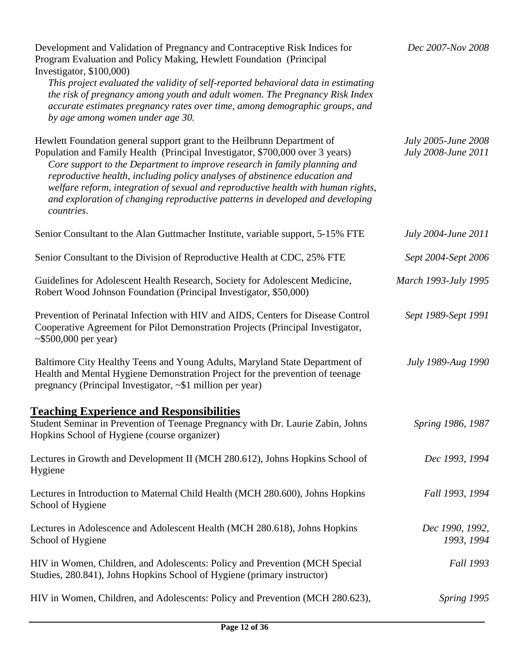| Development and Validation of Pregnancy and Contraceptive Risk Indices for<br>Program Evaluation and Policy Making, Hewlett Foundation (Principal<br>Investigator, \$100,000)<br>This project evaluated the validity of self-reported behavioral data in estimating<br>the risk of pregnancy among youth and adult women. The Pregnancy Risk Index<br>accurate estimates pregnancy rates over time, among demographic groups, and<br>by age among women under age 30.                                  | Dec 2007-Nov 2008                          |
|--------------------------------------------------------------------------------------------------------------------------------------------------------------------------------------------------------------------------------------------------------------------------------------------------------------------------------------------------------------------------------------------------------------------------------------------------------------------------------------------------------|--------------------------------------------|
| Hewlett Foundation general support grant to the Heilbrunn Department of<br>Population and Family Health (Principal Investigator, \$700,000 over 3 years)<br>Core support to the Department to improve research in family planning and<br>reproductive health, including policy analyses of abstinence education and<br>welfare reform, integration of sexual and reproductive health with human rights,<br>and exploration of changing reproductive patterns in developed and developing<br>countries. | July 2005-June 2008<br>July 2008-June 2011 |
| Senior Consultant to the Alan Guttmacher Institute, variable support, 5-15% FTE                                                                                                                                                                                                                                                                                                                                                                                                                        | July 2004-June 2011                        |
| Senior Consultant to the Division of Reproductive Health at CDC, 25% FTE                                                                                                                                                                                                                                                                                                                                                                                                                               | Sept 2004-Sept 2006                        |
| Guidelines for Adolescent Health Research, Society for Adolescent Medicine,<br>Robert Wood Johnson Foundation (Principal Investigator, \$50,000)                                                                                                                                                                                                                                                                                                                                                       | March 1993-July 1995                       |
| Prevention of Perinatal Infection with HIV and AIDS, Centers for Disease Control<br>Cooperative Agreement for Pilot Demonstration Projects (Principal Investigator,<br>$\sim$ \$500,000 per year)                                                                                                                                                                                                                                                                                                      | Sept 1989-Sept 1991                        |
| Baltimore City Healthy Teens and Young Adults, Maryland State Department of<br>Health and Mental Hygiene Demonstration Project for the prevention of teenage<br>pregnancy (Principal Investigator, ~\$1 million per year)                                                                                                                                                                                                                                                                              | July 1989-Aug 1990                         |
| <b>Teaching Experience and Responsibilities</b><br>Student Seminar in Prevention of Teenage Pregnancy with Dr. Laurie Zabin, Johns<br>Hopkins School of Hygiene (course organizer)                                                                                                                                                                                                                                                                                                                     | Spring 1986, 1987                          |
| Lectures in Growth and Development II (MCH 280.612), Johns Hopkins School of<br>Hygiene                                                                                                                                                                                                                                                                                                                                                                                                                | Dec 1993, 1994                             |
| Lectures in Introduction to Maternal Child Health (MCH 280.600), Johns Hopkins<br>School of Hygiene                                                                                                                                                                                                                                                                                                                                                                                                    | Fall 1993, 1994                            |
| Lectures in Adolescence and Adolescent Health (MCH 280.618), Johns Hopkins<br>School of Hygiene                                                                                                                                                                                                                                                                                                                                                                                                        | Dec 1990, 1992,<br>1993, 1994              |
| HIV in Women, Children, and Adolescents: Policy and Prevention (MCH Special<br>Studies, 280.841), Johns Hopkins School of Hygiene (primary instructor)                                                                                                                                                                                                                                                                                                                                                 | <b>Fall 1993</b>                           |
| HIV in Women, Children, and Adolescents: Policy and Prevention (MCH 280.623),                                                                                                                                                                                                                                                                                                                                                                                                                          | Spring 1995                                |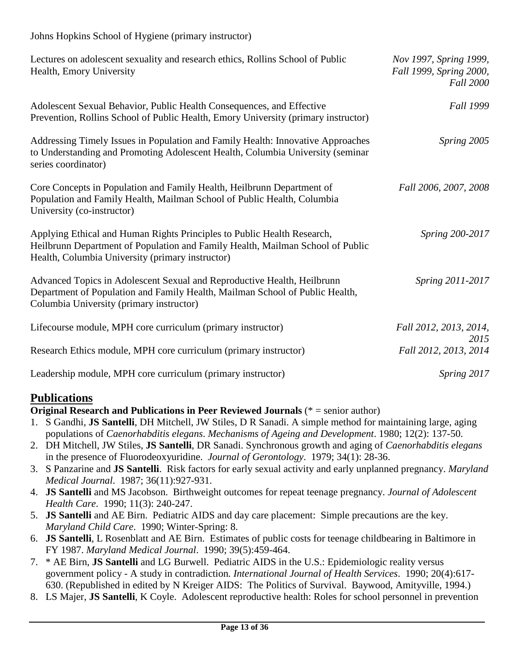### Johns Hopkins School of Hygiene (primary instructor)

| Lectures on adolescent sexuality and research ethics, Rollins School of Public<br>Health, Emory University                                                                                                    | Nov 1997, Spring 1999,<br>Fall 1999, Spring 2000,<br><b>Fall 2000</b> |
|---------------------------------------------------------------------------------------------------------------------------------------------------------------------------------------------------------------|-----------------------------------------------------------------------|
| Adolescent Sexual Behavior, Public Health Consequences, and Effective<br>Prevention, Rollins School of Public Health, Emory University (primary instructor)                                                   | <b>Fall 1999</b>                                                      |
| Addressing Timely Issues in Population and Family Health: Innovative Approaches<br>to Understanding and Promoting Adolescent Health, Columbia University (seminar<br>series coordinator)                      | Spring 2005                                                           |
| Core Concepts in Population and Family Health, Heilbrunn Department of<br>Population and Family Health, Mailman School of Public Health, Columbia<br>University (co-instructor)                               | Fall 2006, 2007, 2008                                                 |
| Applying Ethical and Human Rights Principles to Public Health Research,<br>Heilbrunn Department of Population and Family Health, Mailman School of Public<br>Health, Columbia University (primary instructor) | Spring 200-2017                                                       |
| Advanced Topics in Adolescent Sexual and Reproductive Health, Heilbrunn<br>Department of Population and Family Health, Mailman School of Public Health,<br>Columbia University (primary instructor)           | Spring 2011-2017                                                      |
| Lifecourse module, MPH core curriculum (primary instructor)                                                                                                                                                   | Fall 2012, 2013, 2014,                                                |
| Research Ethics module, MPH core curriculum (primary instructor)                                                                                                                                              | 2015<br>Fall 2012, 2013, 2014                                         |
| Leadership module, MPH core curriculum (primary instructor)                                                                                                                                                   | Spring 2017                                                           |

## **Publications**

### **Original Research and Publications in Peer Reviewed Journals** (\* = senior author)

- 1. S Gandhi, **JS Santelli**, DH Mitchell, JW Stiles, D R Sanadi. A simple method for maintaining large, aging populations of *Caenorhabditis elegans*. *Mechanisms of Ageing and Development*. 1980; 12(2): 137-50.
- 2. DH Mitchell, JW Stiles, **JS Santelli**, DR Sanadi. Synchronous growth and aging of *Caenorhabditis elegans*  in the presence of Fluorodeoxyuridine. *Journal of Gerontology*. 1979; 34(1): 28-36.
- 3. S Panzarine and **JS Santelli**. Risk factors for early sexual activity and early unplanned pregnancy. *Maryland Medical Journal*. 1987; 36(11):927-931.
- 4. **JS Santelli** and MS Jacobson. Birthweight outcomes for repeat teenage pregnancy. *Journal of Adolescent Health Care*. 1990; 11(3): 240-247.
- 5. **JS Santelli** and AE Birn. Pediatric AIDS and day care placement: Simple precautions are the key. *Maryland Child Care*. 1990; Winter-Spring: 8.
- 6. **JS Santelli**, L Rosenblatt and AE Birn. Estimates of public costs for teenage childbearing in Baltimore in FY 1987. *Maryland Medical Journal*. 1990; 39(5):459-464.
- 7. \* AE Birn, **JS Santelli** and LG Burwell. Pediatric AIDS in the U.S.: Epidemiologic reality versus government policy - A study in contradiction*. International Journal of Health Services*. 1990; 20(4):617- 630. (Republished in edited by N Kreiger AIDS: The Politics of Survival. Baywood, Amityville, 1994.)
- 8. LS Majer, **JS Santelli**, K Coyle. Adolescent reproductive health: Roles for school personnel in prevention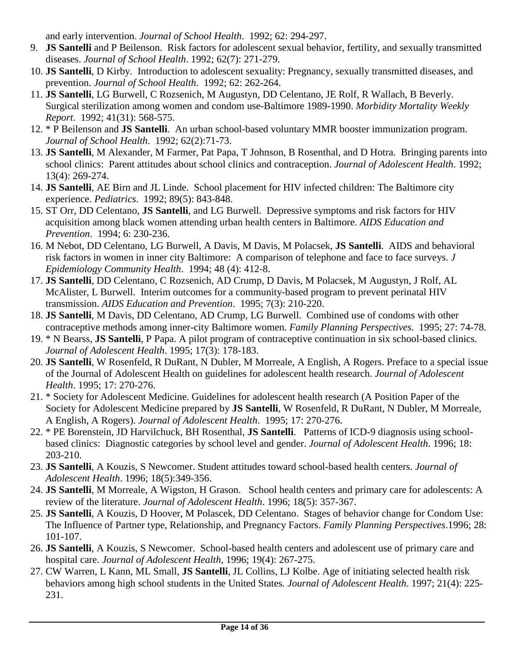and early intervention. *Journal of School Health*. 1992; 62: 294-297.

- 9. **JS Santelli** and P Beilenson. Risk factors for adolescent sexual behavior, fertility, and sexually transmitted diseases. *Journal of School Health*. 1992; 62(7): 271-279.
- 10. **JS Santelli**, D Kirby. Introduction to adolescent sexuality: Pregnancy, sexually transmitted diseases, and prevention. *Journal of School Health*. 1992; 62: 262-264.
- 11. **JS Santelli**, LG Burwell, C Rozsenich, M Augustyn, DD Celentano, JE Rolf, R Wallach, B Beverly. Surgical sterilization among women and condom use-Baltimore 1989-1990. *Morbidity Mortality Weekly Report*. 1992; 41(31): 568-575.
- 12. \* P Beilenson and **JS Santelli**. An urban school-based voluntary MMR booster immunization program. *Journal of School Health*. 1992; 62(2):71-73.
- 13. **JS Santelli**, M Alexander, M Farmer, Pat Papa, T Johnson, B Rosenthal, and D Hotra. Bringing parents into school clinics: Parent attitudes about school clinics and contraception. *Journal of Adolescent Health*. 1992; 13(4): 269-274.
- 14. **JS Santelli**, AE Birn and JL Linde. School placement for HIV infected children: The Baltimore city experience. *Pediatrics*. 1992; 89(5): 843-848.
- 15. ST Orr, DD Celentano, **JS Santelli**, and LG Burwell. Depressive symptoms and risk factors for HIV acquisition among black women attending urban health centers in Baltimore. *AIDS Education and Prevention*. 1994; 6: 230-236.
- 16. M Nebot, DD Celentano, LG Burwell, A Davis, M Davis, M Polacsek, **JS Santelli**. AIDS and behavioral risk factors in women in inner city Baltimore: A comparison of telephone and face to face surveys. *J Epidemiology Community Health*. 1994; 48 (4): 412-8.
- 17. **JS Santelli**, DD Celentano, C Rozsenich, AD Crump, D Davis, M Polacsek, M Augustyn, J Rolf, AL McAlister, L Burwell. Interim outcomes for a community-based program to prevent perinatal HIV transmission. *AIDS Education and Prevention*. 1995; 7(3): 210-220.
- 18. **JS Santelli**, M Davis, DD Celentano, AD Crump, LG Burwell. Combined use of condoms with other contraceptive methods among inner-city Baltimore women. *Family Planning Perspectives*. 1995; 27: 74-78.
- 19. \* N Bearss, **JS Santelli**, P Papa. A pilot program of contraceptive continuation in six school-based clinics. *Journal of Adolescent Health*. 1995; 17(3): 178-183.
- 20. **JS Santelli**, W Rosenfeld, R DuRant, N Dubler, M Morreale, A English, A Rogers. Preface to a special issue of the Journal of Adolescent Health on guidelines for adolescent health research. *Journal of Adolescent Health*. 1995; 17: 270-276.
- 21. \* Society for Adolescent Medicine. Guidelines for adolescent health research (A Position Paper of the Society for Adolescent Medicine prepared by **JS Santelli**, W Rosenfeld, R DuRant, N Dubler, M Morreale, A English, A Rogers). *Journal of Adolescent Health*. 1995; 17: 270-276.
- 22. \* PE Borenstein, JD Harvilchuck, BH Rosenthal, **JS Santelli**. Patterns of ICD-9 diagnosis using schoolbased clinics: Diagnostic categories by school level and gender. *Journal of Adolescent Health*. 1996; 18: 203-210.
- 23. **JS Santelli**, A Kouzis, S Newcomer. Student attitudes toward school-based health centers. *Journal of Adolescent Health*. 1996; 18(5):349-356.
- 24. **JS Santelli**, M Morreale, A Wigston, H Grason. School health centers and primary care for adolescents: A review of the literature. *Journal of Adolescent Health*. 1996; 18(5): 357-367.
- 25. **JS Santelli**, A Kouzis, D Hoover, M Polascek, DD Celentano. Stages of behavior change for Condom Use: The Influence of Partner type, Relationship, and Pregnancy Factors. *Family Planning Perspectives*.1996; 28: 101-107.
- 26. **JS Santelli**, A Kouzis, S Newcomer. School-based health centers and adolescent use of primary care and hospital care. *Journal of Adolescent Health*, 1996; 19(4): 267-275.
- 27. CW Warren, L Kann, ML Small, **JS Santelli**, JL Collins, LJ Kolbe. Age of initiating selected health risk behaviors among high school students in the United States*. Journal of Adolescent Health*. 1997; 21(4): 225- 231.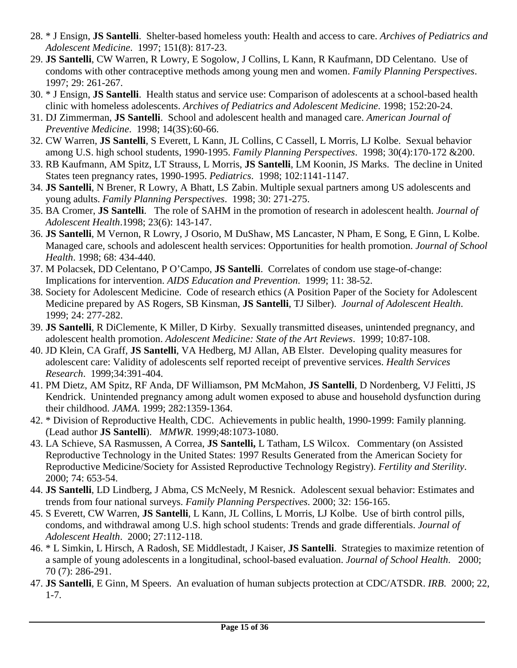- 28. \* J Ensign, **JS Santelli**. Shelter-based homeless youth: Health and access to care. *Archives of Pediatrics and Adolescent Medicine*. 1997; 151(8): 817-23.
- 29. **JS Santelli**, CW Warren, R Lowry, E Sogolow, J Collins, L Kann, R Kaufmann, DD Celentano. Use of condoms with other contraceptive methods among young men and women. *Family Planning Perspectives*. 1997; 29: 261-267.
- 30. \* J Ensign, **JS Santelli**. Health status and service use: Comparison of adolescents at a school-based health clinic with homeless adolescents. *Archives of Pediatrics and Adolescent Medicine*. 1998; 152:20-24.
- 31. DJ Zimmerman, **JS Santelli**. School and adolescent health and managed care. *American Journal of Preventive Medicine*. 1998; 14(3S):60-66.
- 32. CW Warren, **JS Santelli**, S Everett, L Kann, JL Collins, C Cassell, L Morris, LJ Kolbe. Sexual behavior among U.S. high school students, 1990-1995. *Family Planning Perspectives*. 1998; 30(4):170-172 &200.
- 33. RB Kaufmann, AM Spitz, LT Strauss, L Morris, **JS Santelli**, LM Koonin, JS Marks. The decline in United States teen pregnancy rates, 1990-1995. *Pediatrics*. 1998; 102:1141-1147.
- 34. **JS Santelli**, N Brener, R Lowry, A Bhatt, LS Zabin. Multiple sexual partners among US adolescents and young adults. *Family Planning Perspectives*. 1998; 30: 271-275.
- 35. BA Cromer, **JS Santelli**. The role of SAHM in the promotion of research in adolescent health. *Journal of Adolescent Health*.1998; 23(6): 143-147.
- 36. **JS Santelli**, M Vernon, R Lowry, J Osorio, M DuShaw, MS Lancaster, N Pham, E Song, E Ginn, L Kolbe. Managed care, schools and adolescent health services: Opportunities for health promotion. *Journal of School Health*. 1998; 68: 434-440.
- 37. M Polacsek, DD Celentano, P O'Campo, **JS Santelli**. Correlates of condom use stage-of-change: Implications for intervention. *AIDS Education and Prevention*. 1999; 11: 38-52.
- 38. Society for Adolescent Medicine. Code of research ethics (A Position Paper of the Society for Adolescent Medicine prepared by AS Rogers, SB Kinsman, **JS Santelli**, TJ Silber). *Journal of Adolescent Health*. 1999; 24: 277-282.
- 39. **JS Santelli**, R DiClemente, K Miller, D Kirby. Sexually transmitted diseases, unintended pregnancy, and adolescent health promotion. *Adolescent Medicine: State of the Art Reviews*. 1999; 10:87-108.
- 40. JD Klein, CA Graff, **JS Santelli**, VA Hedberg, MJ Allan, AB Elster. Developing quality measures for adolescent care: Validity of adolescents self reported receipt of preventive services. *Health Services Research*. 1999;34:391-404.
- 41. PM Dietz, AM Spitz, RF Anda, DF Williamson, PM McMahon, **JS Santelli**, D Nordenberg, VJ Felitti, JS Kendrick. Unintended pregnancy among adult women exposed to abuse and household dysfunction during their childhood. *JAMA*. 1999; 282:1359-1364.
- 42. \* Division of Reproductive Health, CDC. Achievements in public health, 1990-1999: Family planning. (Lead author **JS Santelli**). *MMWR*. 1999;48:1073-1080.
- 43. LA Schieve, SA Rasmussen, A Correa, **JS Santelli,** L Tatham, LS Wilcox. Commentary (on Assisted Reproductive Technology in the United States: 1997 Results Generated from the American Society for Reproductive Medicine/Society for Assisted Reproductive Technology Registry). *Fertility and Sterility*. 2000; 74: 653-54.
- 44. **JS Santelli**, LD Lindberg, J Abma, CS McNeely, M Resnick. Adolescent sexual behavior: Estimates and trends from four national surveys. *Family Planning Perspectives*. 2000; 32: 156-165.
- 45. S Everett, CW Warren, **JS Santelli**, L Kann, JL Collins, L Morris, LJ Kolbe. Use of birth control pills, condoms, and withdrawal among U.S. high school students: Trends and grade differentials. *Journal of Adolescent Health*. 2000; 27:112-118.
- 46. \* L Simkin, L Hirsch, A Radosh, SE Middlestadt, J Kaiser, **JS Santelli**. Strategies to maximize retention of a sample of young adolescents in a longitudinal, school-based evaluation. *Journal of School Health*. 2000; 70 (7): 286-291.
- 47. **JS Santelli**, E Ginn, M Speers. An evaluation of human subjects protection at CDC/ATSDR. *IRB*. 2000; 22, 1-7.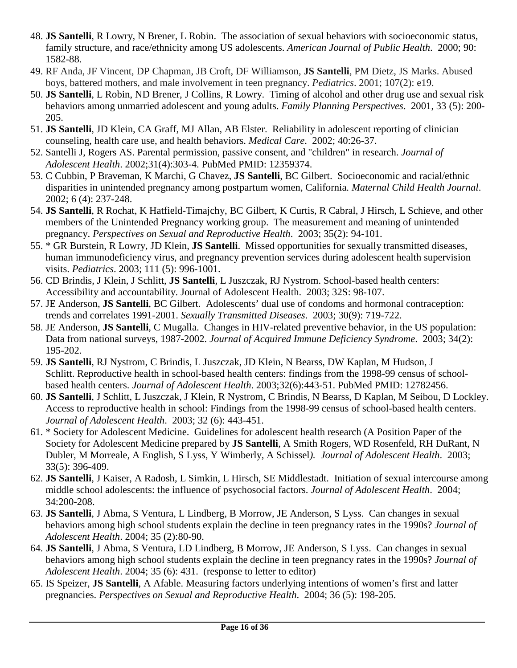- 48. **JS Santelli**, R Lowry, N Brener, L Robin. The association of sexual behaviors with socioeconomic status, family structure, and race/ethnicity among US adolescents. *American Journal of Public Health*. 2000; 90: 1582-88.
- 49. RF Anda, JF Vincent, DP Chapman, JB Croft, DF Williamson, **JS Santelli**, PM Dietz, JS Marks. Abused boys, battered mothers, and male involvement in teen pregnancy. *Pediatrics*. 2001; 107(2): e19.
- 50. **JS Santelli**, L Robin, ND Brener, J Collins, R Lowry. Timing of alcohol and other drug use and sexual risk behaviors among unmarried adolescent and young adults. *Family Planning Perspectives*. 2001, 33 (5): 200- 205.
- 51. **JS Santelli**, JD Klein, CA Graff, MJ Allan, AB Elster. Reliability in adolescent reporting of clinician counseling, health care use, and health behaviors. *Medical Care*. 2002; 40:26-37.
- 52. Santelli J, Rogers AS. [Parental permission, passive consent, and "children" in research.](http://www.ncbi.nlm.nih.gov/pubmed/12359374) *Journal of Adolescent Health*. 2002;31(4):303-4. PubMed PMID: 12359374.
- 53. C Cubbin, P Braveman, K Marchi, G Chavez, **JS Santelli**, BC Gilbert. Socioeconomic and racial/ethnic disparities in unintended pregnancy among postpartum women, California. *Maternal Child Health Journal*. 2002; 6 (4): 237-248.
- 54. **JS Santelli**, R Rochat, K Hatfield-Timajchy, BC Gilbert, K Curtis, R Cabral, J Hirsch, L Schieve, and other members of the Unintended Pregnancy working group. The measurement and meaning of unintended pregnancy. *Perspectives on Sexual and Reproductive Health*. 2003; 35(2): 94-101.
- 55. \* GR Burstein, R Lowry, JD Klein, **JS Santelli**. Missed opportunities for sexually transmitted diseases, human immunodeficiency virus, and pregnancy prevention services during adolescent health supervision visits. *Pediatrics*. 2003; 111 (5): 996-1001.
- 56. CD Brindis, J Klein, J Schlitt, **JS Santelli**, L Juszczak, RJ Nystrom. School-based health centers: Accessibility and accountability. Journal of Adolescent Health. 2003; 32S: 98-107.
- 57. JE Anderson, **JS Santelli**, BC Gilbert. Adolescents' dual use of condoms and hormonal contraception: trends and correlates 1991-2001. *Sexually Transmitted Diseases*. 2003; 30(9): 719-722.
- 58. JE Anderson, **JS Santelli**, C Mugalla. Changes in HIV-related preventive behavior, in the US population: Data from national surveys, 1987-2002. *Journal of Acquired Immune Deficiency Syndrome*. 2003; 34(2): 195-202.
- 59. **JS Santelli**, RJ Nystrom, C Brindis, L Juszczak, JD Klein, N Bearss, DW Kaplan, M Hudson, J Schlitt. [Reproductive health in school-based health centers: findings from the 1998-99 census of school](http://www.ncbi.nlm.nih.gov/pubmed/12782456)[based health centers.](http://www.ncbi.nlm.nih.gov/pubmed/12782456) *Journal of Adolescent Health*. 2003;32(6):443-51. PubMed PMID: 12782456.
- 60. **JS Santelli**, J Schlitt, L Juszczak, J Klein, R Nystrom, C Brindis, N Bearss, D Kaplan, M Seibou, D Lockley. Access to reproductive health in school: Findings from the 1998-99 census of school-based health centers. *Journal of Adolescent Health*. 2003; 32 (6): 443-451.
- 61. \* Society for Adolescent Medicine. Guidelines for adolescent health research (A Position Paper of the Society for Adolescent Medicine prepared by **JS Santelli**, A Smith Rogers, WD Rosenfeld, RH DuRant, N Dubler, M Morreale, A English, S Lyss, Y Wimberly, A Schissel*). Journal of Adolescent Health*. 2003; 33(5): 396-409.
- 62. **JS Santelli**, J Kaiser, A Radosh, L Simkin, L Hirsch, SE Middlestadt. Initiation of sexual intercourse among middle school adolescents: the influence of psychosocial factors. *Journal of Adolescent Health*. 2004; 34:200-208.
- 63. **JS Santelli**, J Abma, S Ventura, L Lindberg, B Morrow, JE Anderson, S Lyss. Can changes in sexual behaviors among high school students explain the decline in teen pregnancy rates in the 1990s? *Journal of Adolescent Health*. 2004; 35 (2):80-90.
- 64. **JS Santelli**, J Abma, S Ventura, LD Lindberg, B Morrow, JE Anderson, S Lyss. Can changes in sexual behaviors among high school students explain the decline in teen pregnancy rates in the 1990s? *Journal of Adolescent Health*. 2004; 35 (6): 431. (response to letter to editor)
- 65. IS Speizer, **JS Santelli**, A Afable. Measuring factors underlying intentions of women's first and latter pregnancies. *Perspectives on Sexual and Reproductive Health*. 2004; 36 (5): 198-205.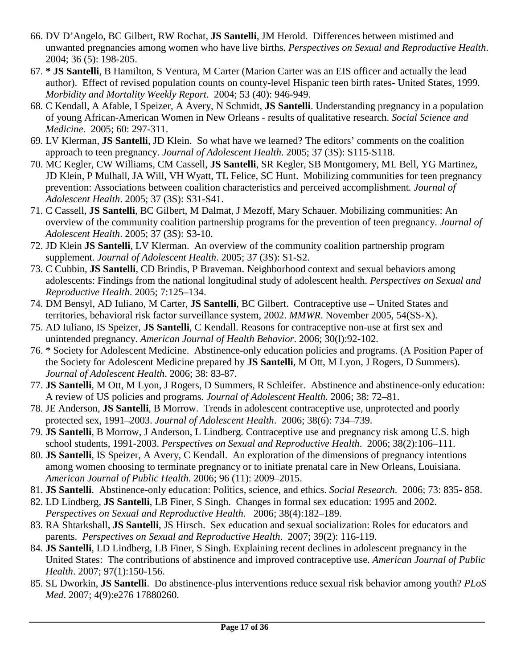- 66. DV D'Angelo, BC Gilbert, RW Rochat, **JS Santelli**, JM Herold. Differences between mistimed and unwanted pregnancies among women who have live births. *Perspectives on Sexual and Reproductive Health*. 2004; 36 (5): 198-205.
- 67. **\* JS Santelli**, B Hamilton, S Ventura, M Carter (Marion Carter was an EIS officer and actually the lead author). Effect of revised population counts on county-level Hispanic teen birth rates- United States, 1999. *Morbidity and Mortality Weekly Report*. 2004; 53 (40): 946-949.
- 68. C Kendall, A Afable, I Speizer, A Avery, N Schmidt, **JS Santelli**. Understanding pregnancy in a population of young African-American Women in New Orleans - results of qualitative research. *Social Science and Medicine*. 2005; 60: 297-311.
- 69. LV Klerman, **JS Santelli**, JD Klein. So what have we learned? The editors' comments on the coalition approach to teen pregnancy. *Journal of Adolescent Health*. 2005; 37 (3S): S115-S118.
- 70. MC Kegler, CW Williams, CM Cassell, **JS Santelli**, SR Kegler, SB Montgomery, ML Bell, YG Martinez, JD Klein, P Mulhall, JA Will, VH Wyatt, TL Felice, SC Hunt. Mobilizing communities for teen pregnancy prevention: Associations between coalition characteristics and perceived accomplishment*. Journal of Adolescent Health*. 2005; 37 (3S): S31-S41.
- 71. C Cassell, **JS Santelli**, BC Gilbert, M Dalmat, J Mezoff, Mary Schauer. Mobilizing communities: An overview of the community coalition partnership programs for the prevention of teen pregnancy. *Journal of Adolescent Health*. 2005; 37 (3S): S3-10.
- 72. JD Klein **JS Santelli**, LV Klerman. An overview of the community coalition partnership program supplement*. Journal of Adolescent Health*. 2005; 37 (3S): S1-S2.
- 73. C Cubbin, **JS Santelli**, CD Brindis, P Braveman. Neighborhood context and sexual behaviors among adolescents: Findings from the national longitudinal study of adolescent health. *Perspectives on Sexual and Reproductive Health*. 2005; 7:125–134.
- 74. DM Bensyl, AD Iuliano, M Carter, **JS Santelli**, BC Gilbert. Contraceptive use United States and territories, behavioral risk factor surveillance system, 2002. *MMWR*. November 2005, 54(SS-X).
- 75. AD Iuliano, IS Speizer, **JS Santelli**, C Kendall. Reasons for contraceptive non-use at first sex and unintended pregnancy. *American Journal of Health Behavior*. 2006; 30(l):92-102.
- 76. \* Society for Adolescent Medicine. Abstinence-only education policies and programs. (A Position Paper of the Society for Adolescent Medicine prepared by **JS Santelli**, M Ott, M Lyon, J Rogers, D Summers). *Journal of Adolescent Health*. 2006; 38: 83-87.
- 77. **JS Santelli**, M Ott, M Lyon, J Rogers, D Summers, R Schleifer. Abstinence and abstinence-only education: A review of US policies and programs*. Journal of Adolescent Health*. 2006; 38: 72–81.
- 78. JE Anderson, **JS Santelli**, B Morrow. Trends in adolescent contraceptive use, unprotected and poorly protected sex, 1991–2003. *Journal of Adolescent Health*. 2006; 38(6): 734–739.
- 79. **JS Santelli**, B Morrow, J Anderson, L Lindberg. Contraceptive use and pregnancy risk among U.S. high school students, 1991-2003. *Perspectives on Sexual and Reproductive Health*. 2006; 38(2):106–111.
- 80. **JS Santelli**, IS Speizer, A Avery, C Kendall. An exploration of the dimensions of pregnancy intentions among women choosing to terminate pregnancy or to initiate prenatal care in New Orleans, Louisiana. *American Journal of Public Health*. 2006; 96 (11): 2009–2015.
- 81. **JS Santelli**. Abstinence-only education: Politics, science, and ethics. *Social Research*. 2006; 73: 835- 858.
- 82. LD Lindberg, **JS Santelli**, LB Finer, S Singh. Changes in formal sex education: 1995 and 2002. *Perspectives on Sexual and Reproductive Health*. 2006; 38(4):182–189.
- 83. RA Shtarkshall, **JS Santelli**, JS Hirsch. Sex education and sexual socialization: Roles for educators and parents. *Perspectives on Sexual and Reproductive Health*. 2007; 39(2): 116-119.
- 84. **JS Santelli**, LD Lindberg, LB Finer, S Singh. Explaining recent declines in adolescent pregnancy in the United States: The contributions of abstinence and improved contraceptive use. *American Journal of Public Health*. 2007; 97(1):150-156.
- 85. SL Dworkin, **JS Santelli**. Do abstinence-plus interventions reduce sexual risk behavior among youth? *PLoS Med*. 2007; 4(9):e276 17880260.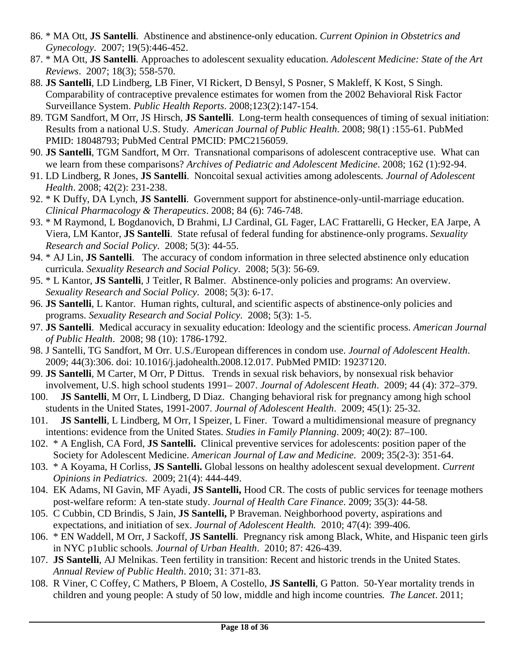- 86. \* MA Ott, **JS Santelli**. Abstinence and abstinence-only education. *Current Opinion in Obstetrics and Gynecology*. 2007; 19(5):446-452.
- 87. \* MA Ott, **JS Santelli**. Approaches to adolescent sexuality education. *Adolescent Medicine: State of the Art Reviews*. 2007; 18(3); 558-570.
- 88. **JS Santelli**, LD Lindberg, LB Finer, VI Rickert, D Bensyl, S Posner, S Makleff, K Kost, S Singh. Comparability of contraceptive prevalence estimates for women from the 2002 Behavioral Risk Factor Surveillance System. *Public Health Reports*. 2008;123(2):147-154.
- 89. TGM Sandfort, M Orr, JS Hirsch, **JS Santelli**. Long-term health consequences of timing of sexual initiation: Results from a national U.S. Study. *American Journal of Public Health*. 2008; 98(1) :155-61. PubMed PMID: 18048793; PubMed Central PMCID: PMC2156059.
- 90. **JS Santelli**, TGM Sandfort, M Orr. Transnational comparisons of adolescent contraceptive use. What can we learn from these comparisons? *Archives of Pediatric and Adolescent Medicine*. 2008; 162 (1):92-94.
- 91. LD Lindberg, R Jones, **JS Santelli**. Noncoital sexual activities among adolescents*. Journal of Adolescent Health*. 2008; 42(2): 231-238.
- 92. \* K Duffy, DA Lynch, **JS Santelli**. Government support for abstinence-only-until-marriage education. *Clinical Pharmacology & Therapeutics*. 2008; 84 (6): 746-748.
- 93. \* M Raymond, L Bogdanovich, D Brahmi, LJ Cardinal, GL Fager, LAC Frattarelli, G Hecker, EA Jarpe, A Viera, LM Kantor, **JS Santelli**. State refusal of federal funding for abstinence-only programs. *Sexuality Research and Social Policy*. 2008; 5(3): 44-55.
- 94. \* AJ Lin, **JS Santelli**. The accuracy of condom information in three selected abstinence only education curricula. *Sexuality Research and Social Policy*. 2008; 5(3): 56-69.
- 95. \* L Kantor, **JS Santelli**, J Teitler, R Balmer. Abstinence-only policies and programs: An overview. *Sexuality Research and Social Policy*. 2008; 5(3): 6-17.
- 96. **JS Santelli**, L Kantor. Human rights, cultural, and scientific aspects of abstinence-only policies and programs. *Sexuality Research and Social Policy*. 2008; 5(3): 1-5.
- 97. **JS Santelli**. Medical accuracy in sexuality education: Ideology and the scientific process. *American Journal of Public Health*. 2008; 98 (10): 1786-1792.
- 98. J Santelli, TG Sandfort, M Orr. [U.S./European](http://www.ncbi.nlm.nih.gov/pubmed/19237120) differences in condom use. *Journal of Adolescent Health*. 2009; 44(3):306. doi: 10.1016/j.jadohealth.2008.12.017. PubMed PMID: 19237120.
- 99. **JS Santelli**, M Carter, M Orr, P Dittus. Trends in sexual risk behaviors, by nonsexual risk behavior involvement, U.S. high school students 1991– 2007. *Journal of Adolescent Heath*. 2009; 44 (4): 372–379.
- 100. **JS Santelli**, M Orr, L Lindberg, D Diaz. Changing behavioral risk for pregnancy among high school students in the United States, 1991-2007. *Journal of Adolescent Health*. 2009; 45(1): 25-32.
- 101. **JS Santelli**, L Lindberg, M Orr, I Speizer, L Finer. Toward a multidimensional measure of pregnancy intentions: evidence from the United States. *Studies in Family Planning*. 2009; 40(2): 87–100.
- 102. \* A English, CA Ford, **JS Santelli.** Clinical preventive services for adolescents: position paper of the Society for Adolescent Medicine. *American Journal of Law and Medicine*. 2009; 35(2-3): 351-64.
- 103. \* A Koyama, H Corliss, **JS Santelli.** Global lessons on healthy adolescent sexual development. *Current Opinions in Pediatrics*. 2009; 21(4): 444-449.
- 104. EK Adams, NI Gavin, MF Ayadi, **JS Santelli,** Hood CR. The costs of public services for teenage mothers post-welfare reform: A ten-state study. *Journal of Health Care Finance*. 2009; 35(3): 44-58.
- 105. C Cubbin, CD Brindis, S Jain, **JS Santelli,** P Braveman. Neighborhood poverty, aspirations and expectations, and initiation of sex. *Journal of Adolescent Health.* 2010; 47(4): 399-406.
- 106. \* EN Waddell, M Orr, J Sackoff, **JS Santelli**. Pregnancy risk among Black, White, and Hispanic teen girls in NYC p1ublic schools*. Journal of Urban Health*. 2010; 87: 426-439.
- 107. **JS Santelli**, AJ Melnikas. Teen fertility in transition: Recent and historic trends in the United States. *Annual Review of Public Health*. 2010; 31: 371-83.
- 108. R Viner, C Coffey, C Mathers, P Bloem, A Costello, **JS Santelli**, G Patton. 50-Year mortality trends in children and young people: A study of 50 low, middle and high income countries*. The Lancet*. 2011;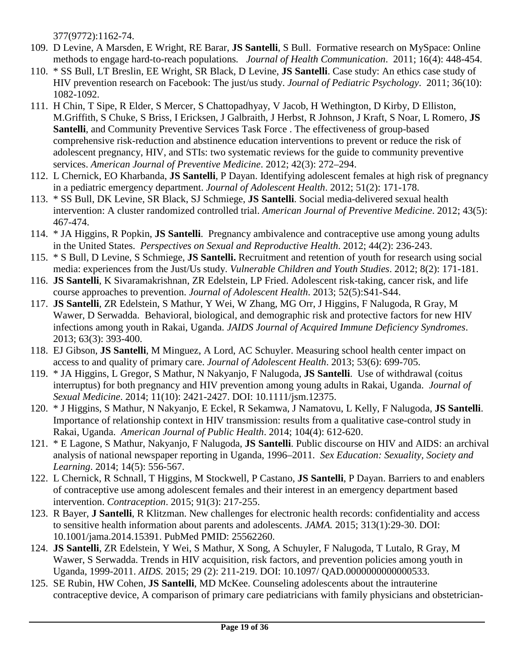377(9772):1162-74.

- 109. D Levine, A Marsden, E Wright, RE Barar, **JS Santelli**, S Bull. Formative research on MySpace: Online methods to engage hard-to-reach populations*. Journal of Health Communication*. 2011; 16(4): 448-454.
- 110. \* SS Bull, LT Breslin, EE Wright, SR Black, D Levine, **JS Santelli**. Case study: An ethics case study of HIV prevention research on Facebook: The just/us study. *Journal of Pediatric Psychology*. 2011; 36(10): 1082-1092.
- 111. H Chin, T Sipe, R Elder, S Mercer, S Chattopadhyay, V Jacob, H Wethington, D Kirby, D Elliston, M.Griffith, S Chuke, S Briss, I Ericksen, J Galbraith, J Herbst, R Johnson, J Kraft, S Noar, L Romero, **JS Santelli**, and Community Preventive Services Task Force . The effectiveness of group-based comprehensive risk-reduction and abstinence education interventions to prevent or reduce the risk of adolescent pregnancy, HIV, and STIs: two systematic reviews for the guide to community preventive services. *American Journal of Preventive Medicine*. 2012; 42(3): 272–294.
- 112. L Chernick, EO Kharbanda, **JS Santelli**, P Dayan. Identifying adolescent females at high risk of pregnancy in a pediatric emergency department. *Journal of Adolescent Health*. 2012; 51(2): 171-178.
- 113. \* SS Bull, DK Levine, SR Black, SJ Schmiege, **JS Santelli**. Social media-delivered sexual health intervention: A cluster randomized controlled trial. *American Journal of Preventive Medicine*. 2012; 43(5): 467-474.
- 114. \* JA Higgins, R Popkin, **JS Santelli**. Pregnancy ambivalence and contraceptive use among young adults in the United States. *Perspectives on Sexual and Reproductive Health*. 2012; 44(2): 236-243.
- 115. \* S Bull, D Levine, S Schmiege, **JS Santelli.** Recruitment and retention of youth for research using social media: experiences from the Just/Us study. *Vulnerable Children and Youth Studies*. 2012; 8(2): 171-181.
- 116. **JS Santelli**, K Sivaramakrishnan, ZR Edelstein, LP Fried. Adolescent risk-taking, cancer risk, and life course approaches to prevention. *Journal of Adolescent Health*. 2013; 52(5):S41-S44.
- 117. **JS Santelli**, ZR Edelstein, S Mathur, Y Wei, W Zhang, MG Orr, J Higgins, F Nalugoda, R Gray, M Wawer, D Serwadda. Behavioral, biological, and demographic risk and protective factors for new HIV infections among youth in Rakai, Uganda. *JAIDS Journal of Acquired Immune Deficiency Syndromes*. 2013; 63(3): 393-400.
- 118. EJ Gibson, **JS Santelli**, M Minguez, A Lord, AC Schuyler. Measuring school health center impact on access to and quality of primary care. *Journal of Adolescent Health*. 2013; 53(6): 699-705.
- 119. \* JA Higgins, L Gregor, S Mathur, N Nakyanjo, F Nalugoda, **JS Santelli**. Use of withdrawal (coitus interruptus) for both pregnancy and HIV prevention among young adults in Rakai, Uganda. *Journal of Sexual Medicine*. 2014; 11(10): 2421-2427. DOI: 10.1111/jsm.12375.
- 120. \* J Higgins, S Mathur, N Nakyanjo, E Eckel, R Sekamwa, J Namatovu, L Kelly, F Nalugoda, **JS Santelli**. Importance of relationship context in HIV transmission: results from a qualitative case-control study in Rakai, Uganda. *American Journal of Public Health*. 2014; 104(4): 612-620.
- 121. \* E Lagone, S Mathur, Nakyanjo, F Nalugoda, **JS Santelli**. Public discourse on HIV and AIDS: an archival analysis of national newspaper reporting in Uganda, 1996–2011. *Sex Education: Sexuality, Society and Learning*. 2014; 14(5): 556-567.
- 122. L Chernick, R Schnall, T Higgins, M Stockwell, P Castano, **JS Santelli**, P Dayan. Barriers to and enablers of contraceptive use among adolescent females and their interest in an emergency department based intervention. *Contraception*. 2015; 91(3): 217-255.
- 123. R Bayer, **J Santelli**, R Klitzman. New challenges for electronic health records: [confidentiality](http://www.ncbi.nlm.nih.gov/pubmed/25562260) and access to sensitive health information about parents and [adolescents.](http://www.ncbi.nlm.nih.gov/pubmed/25562260) *JAMA.* 2015; 313(1):29-30. DOI: 10.1001/jama.2014.15391. PubMed PMID: 25562260.
- 124. **JS Santelli**, ZR Edelstein, Y Wei, S Mathur, X Song, A Schuyler, F Nalugoda, T Lutalo, R Gray, M Wawer, S Serwadda. Trends in HIV acquisition, risk factors, and prevention policies among youth in Uganda, 1999-2011. *AIDS*. 2015; 29 (2): 211-219. DOI: 10.1097/ QAD.0000000000000533.
- 125. SE Rubin, HW Cohen, **JS Santelli**, MD McKee. Counseling adolescents about the intrauterine contraceptive device, A comparison of primary care pediatricians with family physicians and obstetrician-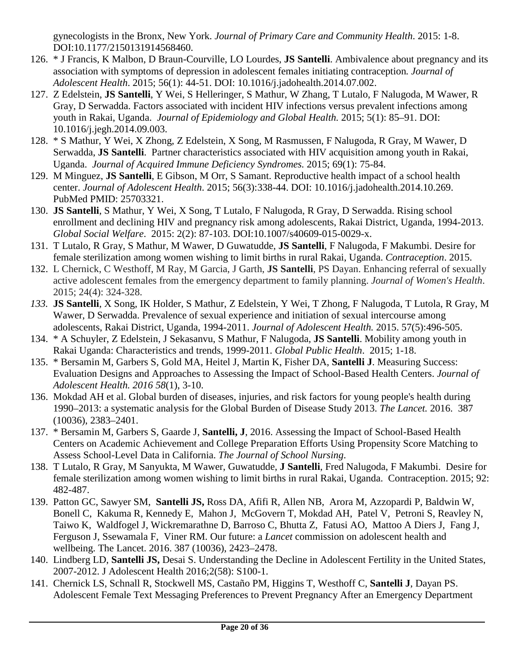gynecologists in the Bronx, New York. *Journal of Primary Care and Community Health*. 2015: 1-8. DOI:10.1177/2150131914568460.

- 126. \* J Francis, K Malbon, D Braun-Courville, LO Lourdes, **JS Santelli**. Ambivalence about pregnancy and its association with symptoms of depression in adolescent females initiating contraception*. Journal of Adolescent Health*. 2015; 56(1): 44-51. DOI: 10.1016/j.jadohealth.2014.07.002.
- 127. Z Edelstein, **JS Santelli**, Y Wei, S Helleringer, S Mathur, W Zhang, T Lutalo, F Nalugoda, M Wawer, R Gray, D Serwadda. Factors associated with incident HIV infections versus prevalent infections among youth in Rakai, Uganda. *Journal of Epidemiology and Global Health.* 2015; 5(1): 85–91. DOI: 10.1016/j.jegh.2014.09.003.
- 128. \* S Mathur, Y Wei, X Zhong, Z Edelstein, X Song, M Rasmussen, F Nalugoda, R Gray, M Wawer, D Serwadda, **JS Santelli**. Partner characteristics associated with HIV acquisition among youth in Rakai, Uganda. *Journal of Acquired Immune Deficiency Syndromes.* 2015; 69(1): 75-84.
- 129. M Minguez, **JS Santelli**, E Gibson, M Orr, S Samant. [Reproductive](http://www.ncbi.nlm.nih.gov/pubmed/25703321) health impact of a school health [center.](http://www.ncbi.nlm.nih.gov/pubmed/25703321) *Journal of Adolescent Health*. 2015; 56(3):338-44. DOI: 10.1016/j.jadohealth.2014.10.269. PubMed PMID: 25703321.
- 130. **JS Santelli**, S Mathur, Y Wei, X Song, T Lutalo, F Nalugoda, R Gray, D Serwadda. Rising school enrollment and declining HIV and pregnancy risk among adolescents, Rakai District, Uganda, 1994-2013. *Global Social Welfare*. 2015: 2(2): 87-103. DOI:10.1007/s40609-015-0029-x.
- 131. T Lutalo, R Gray, S Mathur, M Wawer, D Guwatudde, **JS Santelli**, F Nalugoda, F Makumbi. Desire for female sterilization among women wishing to limit births in rural Rakai, Uganda. *Contraception*. 2015.
- 132. L Chernick, C Westhoff, M Ray, M Garcia, J Garth, **JS Santelli**, PS Dayan. Enhancing referral of sexually active adolescent females from the emergency department to family planning. *Journal of Women's Health*. 2015; 24(4): 324-328.
- *133.* **JS Santelli**, X Song, IK Holder, S Mathur, Z Edelstein, Y Wei, T Zhong, F Nalugoda, T Lutola, R Gray, M Wawer, D Serwadda. Prevalence of sexual experience and initiation of sexual intercourse among adolescents, Rakai District, Uganda, 1994-2011. *Journal of Adolescent Health.* 2015. 57(5):496-505.
- 134. \* A Schuyler, Z Edelstein, J Sekasanvu, S Mathur, F Nalugoda, **JS Santelli**. Mobility among youth in Rakai Uganda: Characteristics and trends, 1999-2011. *Global Public Health*. 2015; 1-18.
- 135. \* Bersamin M, Garbers S, Gold MA, Heitel J, Martin K, Fisher DA, **Santelli J**. Measuring Success: Evaluation Designs and Approaches to Assessing the Impact of School-Based Health Centers. *Journal of Adolescent Health. 2016 58*(1), 3-10.
- 136. Mokdad AH et al. Global burden of diseases, injuries, and risk factors for young people's health during 1990–2013: a systematic analysis for the Global Burden of Disease Study 2013. *The Lancet.* 2016. 387 (10036), 2383–2401.
- 137. \* Bersamin M, Garbers S, Gaarde J, **Santelli, J**, 2016. Assessing the Impact of School-Based Health Centers on Academic Achievement and College Preparation Efforts Using Propensity Score Matching to Assess School-Level Data in California. *The Journal of School Nursing*.
- 138. T Lutalo, R Gray, M Sanyukta, M Wawer, Guwatudde, **J Santelli**, Fred Nalugoda, F Makumbi. Desire for female sterilization among women wishing to limit births in rural Rakai, Uganda. Contraception. 2015; 92: 482-487.
- 139. Patton GC, Sawyer SM, **Santelli JS,** Ross DA, Afifi R, Allen NB, Arora M, Azzopardi P, Baldwin W, Bonell C, Kakuma R, Kennedy E, Mahon J, McGovern T, Mokdad AH, Patel V, Petroni S, Reavley N, Taiwo K, Waldfogel J, Wickremarathne D, Barroso C, Bhutta Z, Fatusi AO, Mattoo A Diers J, Fang J, Ferguson J, Ssewamala F, Viner RM. Our future: a *Lancet* commission on adolescent health and wellbeing. The Lancet. 2016. 387 (10036), 2423–2478.
- 140. Lindberg LD, **Santelli JS,** Desai S. Understanding the Decline in Adolescent Fertility in the United States, 2007-2012. J Adolescent Health 2016;2(58): S100-1.
- 141. Chernick LS, Schnall R, Stockwell MS, Castaño PM, Higgins T, Westhoff C, **Santelli J**, Dayan PS. Adolescent Female Text Messaging Preferences to Prevent Pregnancy After an Emergency Department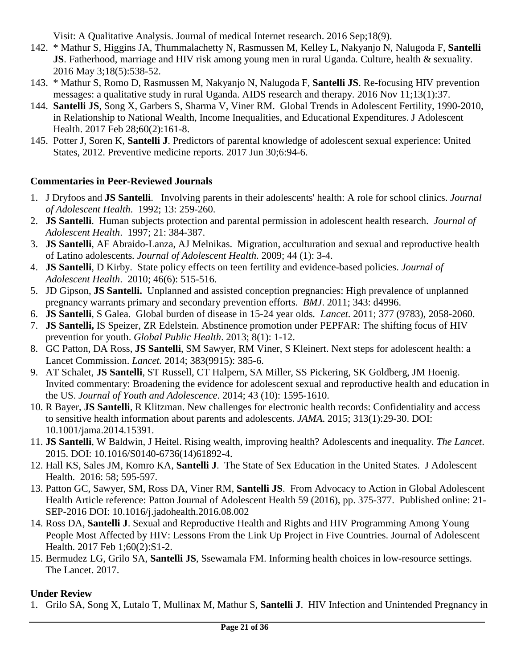Visit: A Qualitative Analysis. Journal of medical Internet research. 2016 Sep;18(9).

- 142. \* Mathur S, Higgins JA, Thummalachetty N, Rasmussen M, Kelley L, Nakyanjo N, Nalugoda F, **Santelli JS**. Fatherhood, marriage and HIV risk among young men in rural Uganda. Culture, health & sexuality. 2016 May 3;18(5):538-52.
- 143. \* Mathur S, Romo D, Rasmussen M, Nakyanjo N, Nalugoda F, **Santelli JS**. Re-focusing HIV prevention messages: a qualitative study in rural Uganda. AIDS research and therapy. 2016 Nov 11;13(1):37.
- 144. **Santelli JS**, Song X, Garbers S, Sharma V, Viner RM. Global Trends in Adolescent Fertility, 1990-2010, in Relationship to National Wealth, Income Inequalities, and Educational Expenditures. J Adolescent Health. 2017 Feb 28;60(2):161-8.
- 145. Potter J, Soren K, **Santelli J**. Predictors of parental knowledge of adolescent sexual experience: United States, 2012. Preventive medicine reports. 2017 Jun 30;6:94-6.

### **Commentaries in Peer-Reviewed Journals**

- 1. J Dryfoos and **JS Santelli**. Involving parents in their adolescents' health: A role for school clinics. *Journal of Adolescent Health*. 1992; 13: 259-260.
- 2. **JS Santelli**. Human subjects protection and parental permission in adolescent health research. *Journal of Adolescent Health*. 1997; 21: 384-387.
- 3. **JS Santelli**, AF Abraido-Lanza, AJ Melnikas. Migration, acculturation and sexual and reproductive health of Latino adolescents*. Journal of Adolescent Health*. 2009; 44 (1): 3-4.
- 4. **JS Santelli**, D Kirby. State policy effects on teen fertility and evidence-based policies. *Journal of Adolescent Health*. 2010; 46(6): 515-516.
- 5. JD Gipson, **JS Santelli.** Unplanned and assisted conception pregnancies: High prevalence of unplanned pregnancy warrants primary and secondary prevention efforts. *BMJ*. 2011; 343: d4996.
- 6. **JS Santelli**, S Galea. Global burden of disease in 15-24 year olds*. Lancet*. 2011; 377 (9783), 2058-2060.
- 7. **JS Santelli,** IS Speizer, ZR Edelstein. Abstinence promotion under PEPFAR: The shifting focus of HIV prevention for youth. *Global Public Health*. 2013; 8(1): 1-12.
- 8. GC Patton, DA Ross, **JS Santelli**, SM Sawyer, RM Viner, S Kleinert. Next steps for adolescent health: a Lancet Commission. *Lancet.* 2014; 383(9915): 385-6.
- 9. AT Schalet, **JS Santelli**, ST Russell, CT Halpern, SA Miller, SS Pickering, SK Goldberg, JM Hoenig. Invited commentary: Broadening the evidence for adolescent sexual and reproductive health and education in the US. *Journal of Youth and Adolescence*. 2014; 43 (10): 1595-1610.
- 10. R Bayer, **JS Santelli**, R Klitzman. New challenges for electronic health records: Confidentiality and access to sensitive health information about parents and adolescents. *JAMA*. 2015; 313(1):29-30. DOI: 10.1001/jama.2014.15391.
- 11. **JS Santelli**, W Baldwin, J Heitel. Rising wealth, improving health? Adolescents and inequality. *The Lancet*. 2015. DOI: 10.1016/S0140-6736(14)61892-4.
- 12. Hall KS, Sales JM, Komro KA, **Santelli J**. The State of Sex Education in the United States. J Adolescent Health. 2016: 58; 595-597.
- 13. Patton GC, Sawyer, SM, Ross DA, Viner RM, **Santelli JS**. From Advocacy to Action in Global Adolescent Health Article reference: Patton Journal of Adolescent Health 59 (2016), pp. 375-377. Published online: 21- SEP-2016 DOI: 10.1016/j.jadohealth.2016.08.002
- 14. Ross DA, **Santelli J**. Sexual and Reproductive Health and Rights and HIV Programming Among Young People Most Affected by HIV: Lessons From the Link Up Project in Five Countries. Journal of Adolescent Health. 2017 Feb 1;60(2):S1-2.
- 15. Bermudez LG, Grilo SA, **Santelli JS**, Ssewamala FM. Informing health choices in low-resource settings. The Lancet. 2017.

### **Under Review**

1. Grilo SA, Song X, Lutalo T, Mullinax M, Mathur S, **Santelli J**. HIV Infection and Unintended Pregnancy in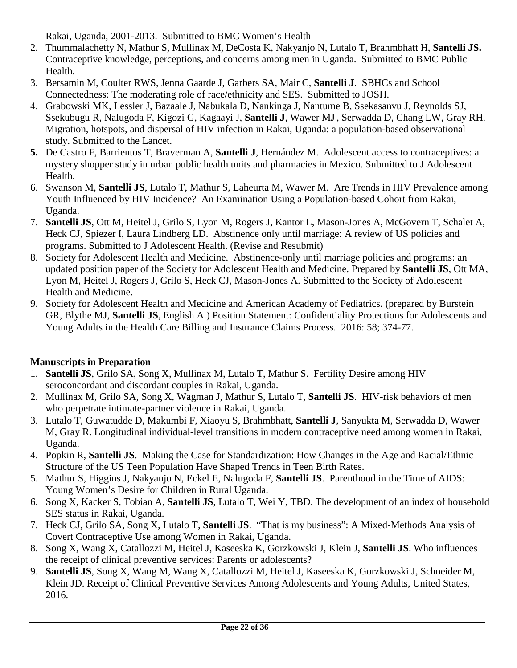Rakai, Uganda, 2001-2013. Submitted to BMC Women's Health

- 2. Thummalachetty N, Mathur S, Mullinax M, DeCosta K, Nakyanjo N, Lutalo T, Brahmbhatt H, **Santelli JS.**  Contraceptive knowledge, perceptions, and concerns among men in Uganda. Submitted to BMC Public Health.
- 3. Bersamin M, Coulter RWS, Jenna Gaarde J, Garbers SA, Mair C, **Santelli J**. SBHCs and School Connectedness: The moderating role of race/ethnicity and SES. Submitted to JOSH.
- 4. Grabowski MK, Lessler J, Bazaale J, Nabukala D, Nankinga J, Nantume B, Ssekasanvu J, Reynolds SJ, Ssekubugu R, Nalugoda F, Kigozi G, Kagaayi J, **Santelli J**, Wawer MJ, Serwadda D, Chang LW, Gray RH. Migration, hotspots, and dispersal of HIV infection in Rakai, Uganda: a population-based observational study. Submitted to the Lancet.
- **5.** De Castro F, Barrientos T, Braverman A, **Santelli J**, Hernández M. Adolescent access to contraceptives: a mystery shopper study in urban public health units and pharmacies in Mexico. Submitted to J Adolescent Health.
- 6. Swanson M, **Santelli JS**, Lutalo T, Mathur S, Laheurta M, Wawer M. Are Trends in HIV Prevalence among Youth Influenced by HIV Incidence? An Examination Using a Population-based Cohort from Rakai, Uganda.
- 7. **Santelli JS**, Ott M, Heitel J, Grilo S, Lyon M, Rogers J, Kantor L, Mason-Jones A, McGovern T, Schalet A, Heck CJ, Spiezer I, Laura Lindberg LD. Abstinence only until marriage: A review of US policies and programs. Submitted to J Adolescent Health. (Revise and Resubmit)
- 8. Society for Adolescent Health and Medicine. Abstinence-only until marriage policies and programs: an updated position paper of the Society for Adolescent Health and Medicine. Prepared by **Santelli JS**, Ott MA, Lyon M, Heitel J, Rogers J, Grilo S, Heck CJ, Mason-Jones A. Submitted to the Society of Adolescent Health and Medicine.
- 9. Society for Adolescent Health and Medicine and American Academy of Pediatrics. (prepared by Burstein GR, Blythe MJ, **Santelli JS**, English A.) Position Statement: Confidentiality Protections for Adolescents and Young Adults in the Health Care Billing and Insurance Claims Process. 2016: 58; 374-77.

## **Manuscripts in Preparation**

- 1. **Santelli JS**, Grilo SA, Song X, Mullinax M, Lutalo T, Mathur S. Fertility Desire among HIV seroconcordant and discordant couples in Rakai, Uganda.
- 2. Mullinax M, Grilo SA, Song X, Wagman J, Mathur S, Lutalo T, **Santelli JS**. HIV-risk behaviors of men who perpetrate intimate-partner violence in Rakai, Uganda.
- 3. Lutalo T, Guwatudde D, Makumbi F, Xiaoyu S, Brahmbhatt, **Santelli J**, Sanyukta M, Serwadda D, Wawer M, Gray R. Longitudinal individual-level transitions in modern contraceptive need among women in Rakai, Uganda.
- 4. Popkin R, **Santelli JS**. Making the Case for Standardization: How Changes in the Age and Racial/Ethnic Structure of the US Teen Population Have Shaped Trends in Teen Birth Rates.
- 5. Mathur S, Higgins J, Nakyanjo N, Eckel E, Nalugoda F, **Santelli JS**. Parenthood in the Time of AIDS: Young Women's Desire for Children in Rural Uganda.
- 6. Song X, Kacker S, Tobian A, **Santelli JS**, Lutalo T, Wei Y, TBD. The development of an index of household SES status in Rakai, Uganda.
- 7. Heck CJ, Grilo SA, Song X, Lutalo T, **Santelli JS**. "That is my business": A Mixed-Methods Analysis of Covert Contraceptive Use among Women in Rakai, Uganda.
- 8. Song X, Wang X, Catallozzi M, Heitel J, Kaseeska K, Gorzkowski J, Klein J, **Santelli JS**. Who influences the receipt of clinical preventive services: Parents or adolescents?
- 9. **Santelli JS**, Song X, Wang M, Wang X, Catallozzi M, Heitel J, Kaseeska K, Gorzkowski J, Schneider M, Klein JD. Receipt of Clinical Preventive Services Among Adolescents and Young Adults, United States, 2016.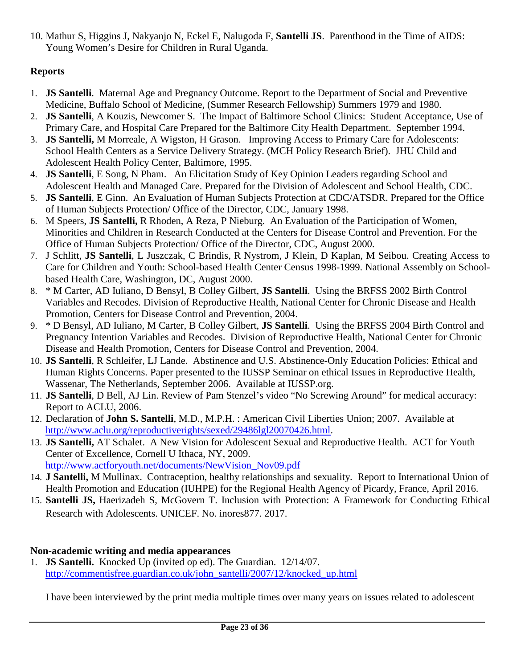10. Mathur S, Higgins J, Nakyanjo N, Eckel E, Nalugoda F, **Santelli JS**. Parenthood in the Time of AIDS: Young Women's Desire for Children in Rural Uganda.

## **Reports**

- 1. **JS Santelli**. Maternal Age and Pregnancy Outcome. Report to the Department of Social and Preventive Medicine, Buffalo School of Medicine, (Summer Research Fellowship) Summers 1979 and 1980.
- 2. **JS Santelli**, A Kouzis, Newcomer S. The Impact of Baltimore School Clinics: Student Acceptance, Use of Primary Care, and Hospital Care Prepared for the Baltimore City Health Department. September 1994.
- 3. **JS Santelli,** M Morreale, A Wigston, H Grason. Improving Access to Primary Care for Adolescents: School Health Centers as a Service Delivery Strategy. (MCH Policy Research Brief). JHU Child and Adolescent Health Policy Center, Baltimore, 1995.
- 4. **JS Santelli**, E Song, N Pham. An Elicitation Study of Key Opinion Leaders regarding School and Adolescent Health and Managed Care. Prepared for the Division of Adolescent and School Health, CDC.
- 5. **JS Santelli**, E Ginn. An Evaluation of Human Subjects Protection at CDC/ATSDR. Prepared for the Office of Human Subjects Protection/ Office of the Director, CDC, January 1998.
- 6. M Speers, **JS Santelli,** R Rhoden, A Reza, P Nieburg. An Evaluation of the Participation of Women, Minorities and Children in Research Conducted at the Centers for Disease Control and Prevention. For the Office of Human Subjects Protection/ Office of the Director, CDC, August 2000.
- 7. J Schlitt, **JS Santelli**, L Juszczak, C Brindis, R Nystrom, J Klein, D Kaplan, M Seibou. Creating Access to Care for Children and Youth: School-based Health Center Census 1998-1999. National Assembly on Schoolbased Health Care, Washington, DC, August 2000.
- 8. \* M Carter, AD Iuliano, D Bensyl, B Colley Gilbert, **JS Santelli**. Using the BRFSS 2002 Birth Control Variables and Recodes. Division of Reproductive Health, National Center for Chronic Disease and Health Promotion, Centers for Disease Control and Prevention, 2004.
- 9. \* D Bensyl, AD Iuliano, M Carter, B Colley Gilbert, **JS Santelli**. Using the BRFSS 2004 Birth Control and Pregnancy Intention Variables and Recodes. Division of Reproductive Health, National Center for Chronic Disease and Health Promotion, Centers for Disease Control and Prevention, 2004.
- 10. **JS Santelli**, R Schleifer, LJ Lande. Abstinence and U.S. Abstinence-Only Education Policies: Ethical and Human Rights Concerns. Paper presented to the IUSSP Seminar on ethical Issues in Reproductive Health, Wassenar, The Netherlands, September 2006. Available at IUSSP.org.
- 11. **JS Santelli**, D Bell, AJ Lin. Review of Pam Stenzel's video "No Screwing Around" for medical accuracy: Report to ACLU, 2006.
- 12. Declaration of **John S. Santelli**, M.D., M.P.H. : American Civil Liberties Union; 2007. Available at [http://www.aclu.org/reproductiverights/sexed/29486lgl20070426.html.](http://www.aclu.org/reproductiverights/sexed/29486lgl20070426.html)
- 13. **JS Santelli,** AT Schalet. A New Vision for Adolescent Sexual and Reproductive Health. ACT for Youth Center of Excellence, Cornell U Ithaca, NY, 2009. [http://www.actforyouth.net/documents/NewVision\\_Nov09.pdf](http://www.actforyouth.net/documents/NewVision_Nov09.pdf)
- 14. **J Santelli,** M Mullinax. Contraception, healthy relationships and sexuality. Report to International Union of Health Promotion and Education (IUHPE) for the Regional Health Agency of Picardy, France, April 2016.
- 15. **Santelli JS,** Haerizadeh S, McGovern T. Inclusion with Protection: A Framework for Conducting Ethical Research with Adolescents. UNICEF. No. inores877. 2017.

### **Non-academic writing and media appearances**

1. **JS Santelli.** Knocked Up (invited op ed). The Guardian. 12/14/07. [http://commentisfree.guardian.co.uk/john\\_santelli/2007/12/knocked\\_up.html](http://commentisfree.guardian.co.uk/john_santelli/2007/12/knocked_up.html)

I have been interviewed by the print media multiple times over many years on issues related to adolescent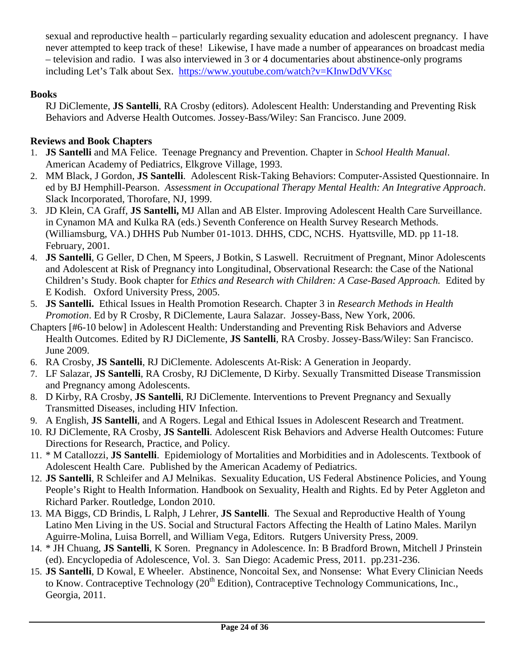sexual and reproductive health – particularly regarding sexuality education and adolescent pregnancy. I have never attempted to keep track of these! Likewise, I have made a number of appearances on broadcast media – television and radio. I was also interviewed in 3 or 4 documentaries about abstinence-only programs including Let's Talk about Sex. <https://www.youtube.com/watch?v=KInwDdVVKsc>

## **Books**

RJ DiClemente, **JS Santelli**, RA Crosby (editors). Adolescent Health: Understanding and Preventing Risk Behaviors and Adverse Health Outcomes. Jossey-Bass/Wiley: San Francisco. June 2009.

## **Reviews and Book Chapters**

- 1. **JS Santelli** and MA Felice. Teenage Pregnancy and Prevention. Chapter in *School Health Manual*. American Academy of Pediatrics, Elkgrove Village, 1993.
- 2. MM Black, J Gordon, **JS Santelli**. Adolescent Risk-Taking Behaviors: Computer-Assisted Questionnaire. In ed by BJ Hemphill-Pearson. *Assessment in Occupational Therapy Mental Health: An Integrative Approach*. Slack Incorporated, Thorofare, NJ, 1999.
- 3. JD Klein, CA Graff, **JS Santelli,** MJ Allan and AB Elster. Improving Adolescent Health Care Surveillance. in Cynamon MA and Kulka RA (eds.) Seventh Conference on Health Survey Research Methods. (Williamsburg, VA.) DHHS Pub Number 01-1013. DHHS, CDC, NCHS. Hyattsville, MD. pp 11-18. February, 2001.
- 4. **JS Santelli**, G Geller, D Chen, M Speers, J Botkin, S Laswell. Recruitment of Pregnant, Minor Adolescents and Adolescent at Risk of Pregnancy into Longitudinal, Observational Research: the Case of the National Children's Study. Book chapter for *Ethics and Research with Children: A Case-Based Approach.* Edited by E Kodish. Oxford University Press, 2005.
- 5. **JS Santelli.** Ethical Issues in Health Promotion Research. Chapter 3 in *Research Methods in Health Promotion*. Ed by R Crosby, R DiClemente, Laura Salazar. Jossey-Bass, New York, 2006.
- Chapters [#6-10 below] in Adolescent Health: Understanding and Preventing Risk Behaviors and Adverse Health Outcomes. Edited by RJ DiClemente, **JS Santelli**, RA Crosby. Jossey-Bass/Wiley: San Francisco. June 2009.
- 6. RA Crosby, **JS Santelli**, RJ DiClemente. Adolescents At-Risk: A Generation in Jeopardy.
- 7. LF Salazar, **JS Santelli**, RA Crosby, RJ DiClemente, D Kirby. Sexually Transmitted Disease Transmission and Pregnancy among Adolescents.
- 8. D Kirby, RA Crosby, **JS Santelli**, RJ DiClemente. Interventions to Prevent Pregnancy and Sexually Transmitted Diseases, including HIV Infection.
- 9. A English, **JS Santelli**, and A Rogers. Legal and Ethical Issues in Adolescent Research and Treatment.
- 10. RJ DiClemente, RA Crosby, **JS Santelli**. Adolescent Risk Behaviors and Adverse Health Outcomes: Future Directions for Research, Practice, and Policy.
- 11. \* M Catallozzi, **JS Santelli**. Epidemiology of Mortalities and Morbidities and in Adolescents. Textbook of Adolescent Health Care. Published by the American Academy of Pediatrics.
- 12. **JS Santelli**, R Schleifer and AJ Melnikas. Sexuality Education, US Federal Abstinence Policies, and Young People's Right to Health Information. Handbook on Sexuality, Health and Rights. Ed by Peter Aggleton and Richard Parker. Routledge, London 2010.
- 13. MA Biggs, CD Brindis, L Ralph, J Lehrer, **JS Santelli**. The Sexual and Reproductive Health of Young Latino Men Living in the US. Social and Structural Factors Affecting the Health of Latino Males. Marilyn Aguirre-Molina, Luisa Borrell, and William Vega, Editors. Rutgers University Press, 2009.
- 14. \* JH Chuang, **JS Santelli**, K Soren. Pregnancy in Adolescence. In: B Bradford Brown, Mitchell J Prinstein (ed). Encyclopedia of Adolescence, Vol. 3. San Diego: Academic Press, 2011. pp.231-236.
- 15. **JS Santelli**, D Kowal, E Wheeler. Abstinence, Noncoital Sex, and Nonsense: What Every Clinician Needs to Know. Contraceptive Technology (20<sup>th</sup> Edition), Contraceptive Technology Communications, Inc., Georgia, 2011.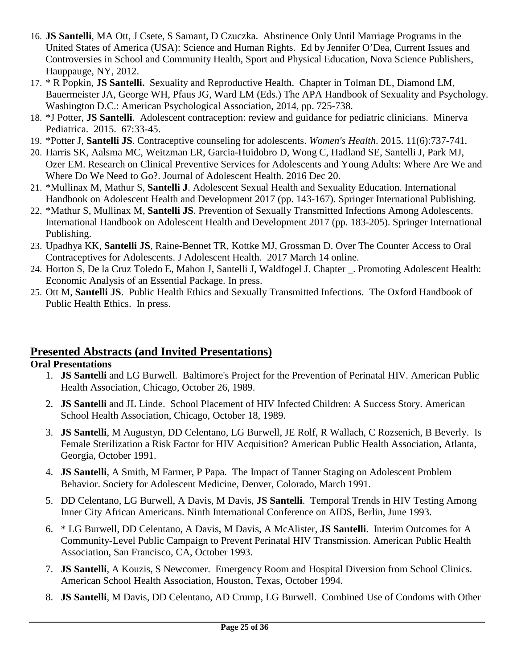- 16. **JS Santelli**, MA Ott, J Csete, S Samant, D Czuczka. Abstinence Only Until Marriage Programs in the United States of America (USA): Science and Human Rights. Ed by Jennifer O'Dea, Current Issues and Controversies in School and Community Health, Sport and Physical Education, Nova Science Publishers, Hauppauge, NY, 2012.
- 17. \* R Popkin, **JS Santelli.** Sexuality and Reproductive Health. Chapter in Tolman DL, Diamond LM, Bauermeister JA, George WH, Pfaus JG, Ward LM (Eds.) The APA Handbook of Sexuality and Psychology. Washington D.C.: American Psychological Association, 2014, pp. 725-738.
- 18. \*J Potter, **JS Santelli**. Adolescent contraception: review and guidance for pediatric clinicians. Minerva Pediatrica. 2015. 67:33-45.
- 19. \*Potter J, **Santelli JS**. Contraceptive counseling for adolescents. *Women's Health*. 2015. 11(6):737-741.
- 20. Harris SK, Aalsma MC, Weitzman ER, Garcia-Huidobro D, Wong C, Hadland SE, Santelli J, Park MJ, Ozer EM. Research on Clinical Preventive Services for Adolescents and Young Adults: Where Are We and Where Do We Need to Go?. Journal of Adolescent Health. 2016 Dec 20.
- 21. \*Mullinax M, Mathur S, **Santelli J**. Adolescent Sexual Health and Sexuality Education. International Handbook on Adolescent Health and Development 2017 (pp. 143-167). Springer International Publishing.
- 22. \*Mathur S, Mullinax M, **Santelli JS**. Prevention of Sexually Transmitted Infections Among Adolescents. International Handbook on Adolescent Health and Development 2017 (pp. 183-205). Springer International Publishing.
- 23. Upadhya KK, **Santelli JS**, Raine-Bennet TR, Kottke MJ, Grossman D. Over The Counter Access to Oral Contraceptives for Adolescents. J Adolescent Health. 2017 March 14 online.
- 24. Horton S, De la Cruz Toledo E, Mahon J, Santelli J, Waldfogel J. Chapter \_. Promoting Adolescent Health: Economic Analysis of an Essential Package. In press.
- 25. Ott M, **Santelli JS**. Public Health Ethics and Sexually Transmitted Infections. The Oxford Handbook of Public Health Ethics. In press.

# **Presented Abstracts (and Invited Presentations)**

## **Oral Presentations**

- 1. **JS Santelli** and LG Burwell. Baltimore's Project for the Prevention of Perinatal HIV. American Public Health Association, Chicago, October 26, 1989.
- 2. **JS Santelli** and JL Linde. School Placement of HIV Infected Children: A Success Story. American School Health Association, Chicago, October 18, 1989.
- 3. **JS Santelli**, M Augustyn, DD Celentano, LG Burwell, JE Rolf, R Wallach, C Rozsenich, B Beverly. Is Female Sterilization a Risk Factor for HIV Acquisition? American Public Health Association, Atlanta, Georgia, October 1991.
- 4. **JS Santelli**, A Smith, M Farmer, P Papa. The Impact of Tanner Staging on Adolescent Problem Behavior. Society for Adolescent Medicine, Denver, Colorado, March 1991.
- 5. DD Celentano, LG Burwell, A Davis, M Davis, **JS Santelli**. Temporal Trends in HIV Testing Among Inner City African Americans. Ninth International Conference on AIDS, Berlin, June 1993.
- 6. \* LG Burwell, DD Celentano, A Davis, M Davis, A McAlister, **JS Santelli**. Interim Outcomes for A Community-Level Public Campaign to Prevent Perinatal HIV Transmission. American Public Health Association, San Francisco, CA, October 1993.
- 7. **JS Santelli**, A Kouzis, S Newcomer. Emergency Room and Hospital Diversion from School Clinics. American School Health Association, Houston, Texas, October 1994.
- 8. **JS Santelli**, M Davis, DD Celentano, AD Crump, LG Burwell. Combined Use of Condoms with Other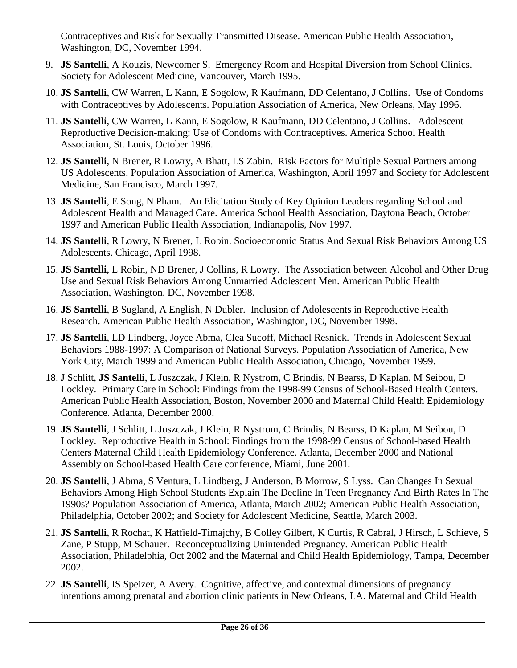Contraceptives and Risk for Sexually Transmitted Disease. American Public Health Association, Washington, DC, November 1994.

- 9. **JS Santelli**, A Kouzis, Newcomer S. Emergency Room and Hospital Diversion from School Clinics. Society for Adolescent Medicine, Vancouver, March 1995.
- 10. **JS Santelli**, CW Warren, L Kann, E Sogolow, R Kaufmann, DD Celentano, J Collins. Use of Condoms with Contraceptives by Adolescents. Population Association of America, New Orleans, May 1996.
- 11. **JS Santelli**, CW Warren, L Kann, E Sogolow, R Kaufmann, DD Celentano, J Collins. Adolescent Reproductive Decision-making: Use of Condoms with Contraceptives. America School Health Association, St. Louis, October 1996.
- 12. **JS Santelli**, N Brener, R Lowry, A Bhatt, LS Zabin. Risk Factors for Multiple Sexual Partners among US Adolescents. Population Association of America, Washington, April 1997 and Society for Adolescent Medicine, San Francisco, March 1997.
- 13. **JS Santelli**, E Song, N Pham. An Elicitation Study of Key Opinion Leaders regarding School and Adolescent Health and Managed Care. America School Health Association, Daytona Beach, October 1997 and American Public Health Association, Indianapolis, Nov 1997.
- 14. **JS Santelli**, R Lowry, N Brener, L Robin. Socioeconomic Status And Sexual Risk Behaviors Among US Adolescents. Chicago, April 1998.
- 15. **JS Santelli**, L Robin, ND Brener, J Collins, R Lowry. The Association between Alcohol and Other Drug Use and Sexual Risk Behaviors Among Unmarried Adolescent Men. American Public Health Association, Washington, DC, November 1998.
- 16. **JS Santelli**, B Sugland, A English, N Dubler. Inclusion of Adolescents in Reproductive Health Research. American Public Health Association, Washington, DC, November 1998.
- 17. **JS Santelli**, LD Lindberg, Joyce Abma, Clea Sucoff, Michael Resnick. Trends in Adolescent Sexual Behaviors 1988-1997: A Comparison of National Surveys. Population Association of America, New York City, March 1999 and American Public Health Association, Chicago, November 1999.
- 18. J Schlitt, **JS Santelli**, L Juszczak, J Klein, R Nystrom, C Brindis, N Bearss, D Kaplan, M Seibou, D Lockley. Primary Care in School: Findings from the 1998-99 Census of School-Based Health Centers. American Public Health Association, Boston, November 2000 and Maternal Child Health Epidemiology Conference. Atlanta, December 2000.
- 19. **JS Santelli**, J Schlitt, L Juszczak, J Klein, R Nystrom, C Brindis, N Bearss, D Kaplan, M Seibou, D Lockley. Reproductive Health in School: Findings from the 1998-99 Census of School-based Health Centers Maternal Child Health Epidemiology Conference. Atlanta, December 2000 and National Assembly on School-based Health Care conference, Miami, June 2001.
- 20. **JS Santelli**, J Abma, S Ventura, L Lindberg, J Anderson, B Morrow, S Lyss. Can Changes In Sexual Behaviors Among High School Students Explain The Decline In Teen Pregnancy And Birth Rates In The 1990s? Population Association of America, Atlanta, March 2002; American Public Health Association, Philadelphia, October 2002; and Society for Adolescent Medicine, Seattle, March 2003.
- 21. **JS Santelli**, R Rochat, K Hatfield-Timajchy, B Colley Gilbert, K Curtis, R Cabral, J Hirsch, L Schieve, S Zane, P Stupp, M Schauer. Reconceptualizing Unintended Pregnancy. American Public Health Association, Philadelphia, Oct 2002 and the Maternal and Child Health Epidemiology, Tampa, December 2002.
- 22. **JS Santelli**, IS Speizer, A Avery. Cognitive, affective, and contextual dimensions of pregnancy intentions among prenatal and abortion clinic patients in New Orleans, LA. Maternal and Child Health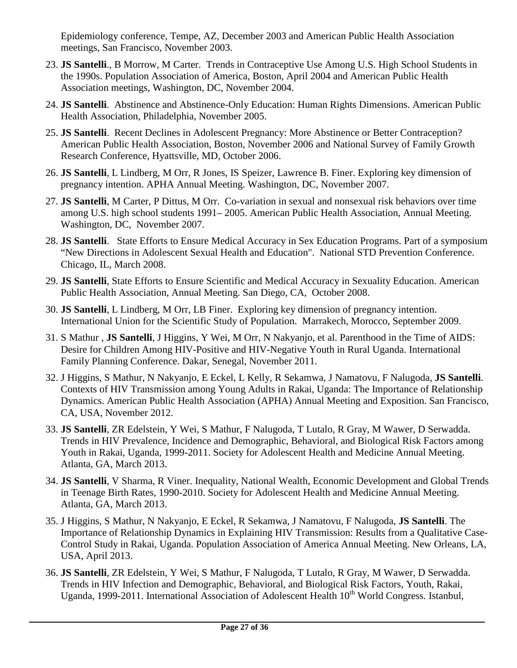Epidemiology conference, Tempe, AZ, December 2003 and American Public Health Association meetings, San Francisco, November 2003.

- 23. **JS Santelli**., B Morrow, M Carter. Trends in Contraceptive Use Among U.S. High School Students in the 1990s. Population Association of America, Boston, April 2004 and American Public Health Association meetings, Washington, DC, November 2004.
- 24. **JS Santelli**. Abstinence and Abstinence-Only Education: Human Rights Dimensions. American Public Health Association, Philadelphia, November 2005.
- 25. **JS Santelli**. Recent Declines in Adolescent Pregnancy: More Abstinence or Better Contraception? American Public Health Association, Boston, November 2006 and National Survey of Family Growth Research Conference, Hyattsville, MD, October 2006.
- 26. **JS Santelli**, L Lindberg, M Orr, R Jones, IS Speizer, Lawrence B. Finer. Exploring key dimension of pregnancy intention. APHA Annual Meeting. Washington, DC, November 2007.
- 27. **JS Santelli**, M Carter, P Dittus, M Orr. Co-variation in sexual and nonsexual risk behaviors over time among U.S. high school students 1991– 2005. American Public Health Association, Annual Meeting. Washington, DC, November 2007.
- 28. **JS Santelli**. State Efforts to Ensure Medical Accuracy in Sex Education Programs. Part of a symposium "New Directions in Adolescent Sexual Health and Education". National STD Prevention Conference. Chicago, IL, March 2008.
- 29. **JS Santelli**, State Efforts to Ensure Scientific and Medical Accuracy in Sexuality Education. American Public Health Association, Annual Meeting. San Diego, CA, October 2008.
- 30. **JS Santelli**, L Lindberg, M Orr, LB Finer. Exploring key dimension of pregnancy intention. International Union for the Scientific Study of Population. Marrakech, Morocco, September 2009.
- 31. S Mathur , **JS Santelli**, J Higgins, Y Wei, M Orr, N Nakyanjo, et al. Parenthood in the Time of AIDS: Desire for Children Among HIV-Positive and HIV-Negative Youth in Rural Uganda. International Family Planning Conference. Dakar, Senegal, November 2011.
- 32. J Higgins, S Mathur, N Nakyanjo, E Eckel, L Kelly, R Sekamwa, J Namatovu, F Nalugoda, **JS Santelli**. Contexts of HIV Transmission among Young Adults in Rakai, Uganda: The Importance of Relationship Dynamics. American Public Health Association (APHA) Annual Meeting and Exposition. San Francisco, CA, USA, November 2012.
- 33. **JS Santelli**, ZR Edelstein, Y Wei, S Mathur, F Nalugoda, T Lutalo, R Gray, M Wawer, D Serwadda. Trends in HIV Prevalence, Incidence and Demographic, Behavioral, and Biological Risk Factors among Youth in Rakai, Uganda, 1999-2011. Society for Adolescent Health and Medicine Annual Meeting. Atlanta, GA, March 2013.
- 34. **JS Santelli**, V Sharma, R Viner. Inequality, National Wealth, Economic Development and Global Trends in Teenage Birth Rates, 1990-2010. Society for Adolescent Health and Medicine Annual Meeting. Atlanta, GA, March 2013.
- 35. J Higgins, S Mathur, N Nakyanjo, E Eckel, R Sekamwa, J Namatovu, F Nalugoda, **JS Santelli**. The Importance of Relationship Dynamics in Explaining HIV Transmission: Results from a Qualitative Case-Control Study in Rakai, Uganda. Population Association of America Annual Meeting. New Orleans, LA, USA, April 2013.
- 36. **JS Santelli**, ZR Edelstein, Y Wei, S Mathur, F Nalugoda, T Lutalo, R Gray, M Wawer, D Serwadda. Trends in HIV Infection and Demographic, Behavioral, and Biological Risk Factors, Youth, Rakai, Uganda, 1999-2011. International Association of Adolescent Health 10<sup>th</sup> World Congress. Istanbul,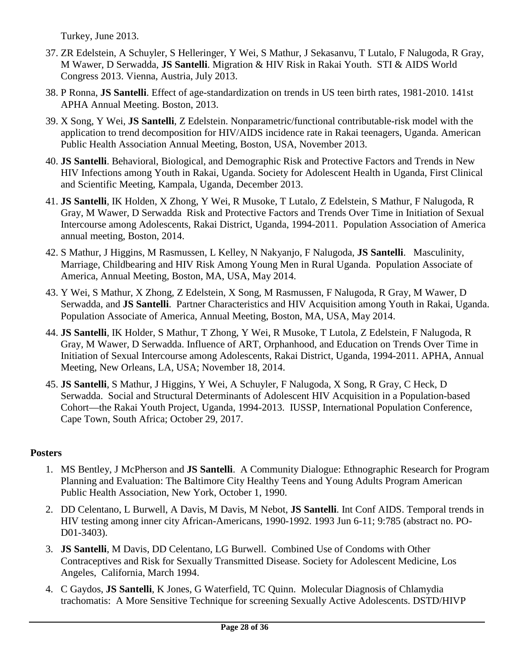Turkey, June 2013.

- 37. ZR Edelstein, A Schuyler, S Helleringer, Y Wei, S Mathur, J Sekasanvu, T Lutalo, F Nalugoda, R Gray, M Wawer, D Serwadda, **JS Santelli**. Migration & HIV Risk in Rakai Youth. STI & AIDS World Congress 2013. Vienna, Austria, July 2013.
- 38. P Ronna, **JS Santelli**. Effect of age-standardization on trends in US teen birth rates, 1981-2010. 141st APHA Annual Meeting. Boston, 2013.
- 39. X Song, Y Wei, **JS Santelli**, Z Edelstein. Nonparametric/functional contributable-risk model with the application to trend decomposition for HIV/AIDS incidence rate in Rakai teenagers, Uganda. American Public Health Association Annual Meeting, Boston, USA, November 2013.
- 40. **JS Santelli**. Behavioral, Biological, and Demographic Risk and Protective Factors and Trends in New HIV Infections among Youth in Rakai, Uganda. Society for Adolescent Health in Uganda, First Clinical and Scientific Meeting, Kampala, Uganda, December 2013.
- 41. **JS Santelli**, IK Holden, X Zhong, Y Wei, R Musoke, T Lutalo, Z Edelstein, S Mathur, F Nalugoda, R Gray, M Wawer, D Serwadda Risk and Protective Factors and Trends Over Time in Initiation of Sexual Intercourse among Adolescents, Rakai District, Uganda, 1994-2011. Population Association of America annual meeting, Boston, 2014.
- 42. S Mathur, J Higgins, M Rasmussen, L Kelley, N Nakyanjo, F Nalugoda, **JS Santelli**. Masculinity, Marriage, Childbearing and HIV Risk Among Young Men in Rural Uganda. Population Associate of America, Annual Meeting, Boston, MA, USA, May 2014.
- 43. Y Wei, S Mathur, X Zhong, Z Edelstein, X Song, M Rasmussen, F Nalugoda, R Gray, M Wawer, D Serwadda, and **JS Santelli**. Partner Characteristics and HIV Acquisition among Youth in Rakai, Uganda. Population Associate of America, Annual Meeting, Boston, MA, USA, May 2014.
- 44. **JS Santelli**, IK Holder, S Mathur, T Zhong, Y Wei, R Musoke, T Lutola, Z Edelstein, F Nalugoda, R Gray, M Wawer, D Serwadda. Influence of ART, Orphanhood, and Education on Trends Over Time in Initiation of Sexual Intercourse among Adolescents, Rakai District, Uganda, 1994-2011. APHA, Annual Meeting, New Orleans, LA, USA; November 18, 2014.
- 45. **JS Santelli**, S Mathur, J Higgins, Y Wei, A Schuyler, F Nalugoda, X Song, R Gray, C Heck, D Serwadda. Social and Structural Determinants of Adolescent HIV Acquisition in a Population-based Cohort—the Rakai Youth Project, Uganda, 1994-2013. IUSSP, International Population Conference, Cape Town, South Africa; October 29, 2017.

### **Posters**

- 1. MS Bentley, J McPherson and **JS Santelli**. A Community Dialogue: Ethnographic Research for Program Planning and Evaluation: The Baltimore City Healthy Teens and Young Adults Program American Public Health Association, New York, October 1, 1990.
- 2. DD Celentano, L Burwell, A Davis, M Davis, M Nebot, **JS Santelli**. Int Conf AIDS. Temporal trends in HIV testing among inner city African-Americans, 1990-1992. 1993 Jun 6-11; 9:785 (abstract no. PO-D01-3403).
- 3. **JS Santelli**, M Davis, DD Celentano, LG Burwell. Combined Use of Condoms with Other Contraceptives and Risk for Sexually Transmitted Disease. Society for Adolescent Medicine, Los Angeles, California, March 1994.
- 4. C Gaydos, **JS Santelli**, K Jones, G Waterfield, TC Quinn. Molecular Diagnosis of Chlamydia trachomatis: A More Sensitive Technique for screening Sexually Active Adolescents. DSTD/HIVP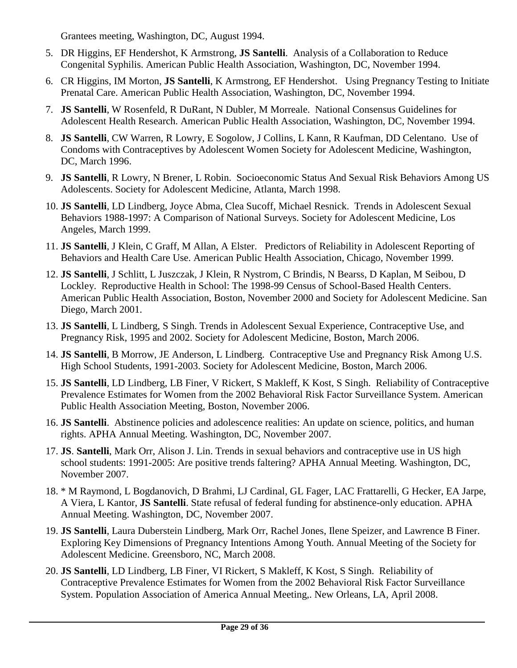Grantees meeting, Washington, DC, August 1994.

- 5. DR Higgins, EF Hendershot, K Armstrong, **JS Santelli**. Analysis of a Collaboration to Reduce Congenital Syphilis. American Public Health Association, Washington, DC, November 1994.
- 6. CR Higgins, IM Morton, **JS Santelli**, K Armstrong, EF Hendershot. Using Pregnancy Testing to Initiate Prenatal Care. American Public Health Association, Washington, DC, November 1994.
- 7. **JS Santelli**, W Rosenfeld, R DuRant, N Dubler, M Morreale. National Consensus Guidelines for Adolescent Health Research. American Public Health Association, Washington, DC, November 1994.
- 8. **JS Santelli**, CW Warren, R Lowry, E Sogolow, J Collins, L Kann, R Kaufman, DD Celentano. Use of Condoms with Contraceptives by Adolescent Women Society for Adolescent Medicine, Washington, DC, March 1996.
- 9. **JS Santelli**, R Lowry, N Brener, L Robin. Socioeconomic Status And Sexual Risk Behaviors Among US Adolescents. Society for Adolescent Medicine, Atlanta, March 1998.
- 10. **JS Santelli**, LD Lindberg, Joyce Abma, Clea Sucoff, Michael Resnick. Trends in Adolescent Sexual Behaviors 1988-1997: A Comparison of National Surveys. Society for Adolescent Medicine, Los Angeles, March 1999.
- 11. **JS Santelli**, J Klein, C Graff, M Allan, A Elster. Predictors of Reliability in Adolescent Reporting of Behaviors and Health Care Use. American Public Health Association, Chicago, November 1999.
- 12. **JS Santelli**, J Schlitt, L Juszczak, J Klein, R Nystrom, C Brindis, N Bearss, D Kaplan, M Seibou, D Lockley. Reproductive Health in School: The 1998-99 Census of School-Based Health Centers. American Public Health Association, Boston, November 2000 and Society for Adolescent Medicine. San Diego, March 2001.
- 13. **JS Santelli**, L Lindberg, S Singh. Trends in Adolescent Sexual Experience, Contraceptive Use, and Pregnancy Risk, 1995 and 2002. Society for Adolescent Medicine, Boston, March 2006.
- 14. **JS Santelli**, B Morrow, JE Anderson, L Lindberg. Contraceptive Use and Pregnancy Risk Among U.S. High School Students, 1991-2003. Society for Adolescent Medicine, Boston, March 2006.
- 15. **JS Santelli**, LD Lindberg, LB Finer, V Rickert, S Makleff, K Kost, S Singh. Reliability of Contraceptive Prevalence Estimates for Women from the 2002 Behavioral Risk Factor Surveillance System. American Public Health Association Meeting, Boston, November 2006.
- 16. **JS Santelli**. Abstinence policies and adolescence realities: An update on science, politics, and human rights. APHA Annual Meeting. Washington, DC, November 2007.
- 17. **JS**. **Santelli**, Mark Orr, Alison J. Lin. Trends in sexual behaviors and contraceptive use in US high school students: 1991-2005: Are positive trends faltering? APHA Annual Meeting. Washington, DC, November 2007.
- 18. \* M Raymond, L Bogdanovich, D Brahmi, LJ Cardinal, GL Fager, LAC Frattarelli, G Hecker, EA Jarpe, A Viera, L Kantor, **JS Santelli**. State refusal of federal funding for abstinence-only education. APHA Annual Meeting. Washington, DC, November 2007.
- 19. **JS Santelli**, Laura Duberstein Lindberg, Mark Orr, Rachel Jones, Ilene Speizer, and Lawrence B Finer. Exploring Key Dimensions of Pregnancy Intentions Among Youth. Annual Meeting of the Society for Adolescent Medicine. Greensboro, NC, March 2008.
- 20. **JS Santelli**, LD Lindberg, LB Finer, VI Rickert, S Makleff, K Kost, S Singh. Reliability of Contraceptive Prevalence Estimates for Women from the 2002 Behavioral Risk Factor Surveillance System. Population Association of America Annual Meeting,. New Orleans, LA, April 2008.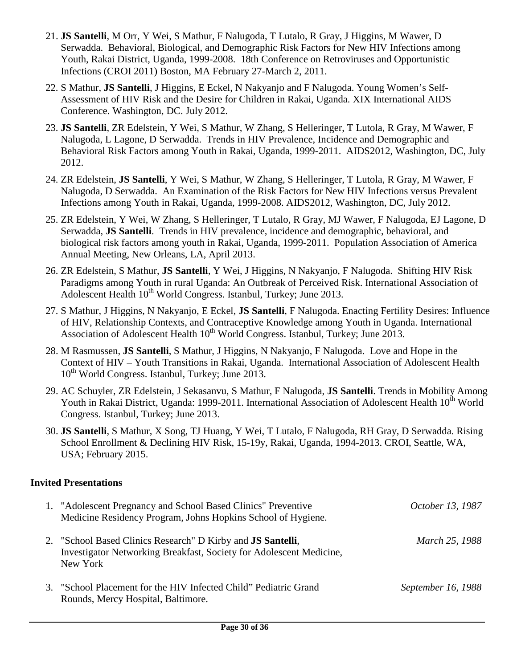- 21. **JS Santelli**, M Orr, Y Wei, S Mathur, F Nalugoda, T Lutalo, R Gray, J Higgins, M Wawer, D Serwadda. Behavioral, Biological, and Demographic Risk Factors for New HIV Infections among Youth, Rakai District, Uganda, 1999-2008. 18th Conference on Retroviruses and Opportunistic Infections (CROI 2011) Boston, MA February 27-March 2, 2011.
- 22. S Mathur, **JS Santelli**, J Higgins, E Eckel, N Nakyanjo and F Nalugoda. Young Women's Self-Assessment of HIV Risk and the Desire for Children in Rakai, Uganda. XIX International AIDS Conference. Washington, DC. July 2012.
- 23. **JS Santelli**, ZR Edelstein, Y Wei, S Mathur, W Zhang, S Helleringer, T Lutola, R Gray, M Wawer, F Nalugoda, L Lagone, D Serwadda. Trends in HIV Prevalence, Incidence and Demographic and Behavioral Risk Factors among Youth in Rakai, Uganda, 1999-2011. AIDS2012, Washington, DC, July 2012.
- 24. ZR Edelstein, **JS Santelli**, Y Wei, S Mathur, W Zhang, S Helleringer, T Lutola, R Gray, M Wawer, F Nalugoda, D Serwadda. An Examination of the Risk Factors for New HIV Infections versus Prevalent Infections among Youth in Rakai, Uganda, 1999-2008. AIDS2012, Washington, DC, July 2012.
- 25. ZR Edelstein, Y Wei, W Zhang, S Helleringer, T Lutalo, R Gray, MJ Wawer, F Nalugoda, EJ Lagone, D Serwadda, **JS Santelli**. Trends in HIV prevalence, incidence and demographic, behavioral, and biological risk factors among youth in Rakai, Uganda, 1999-2011. Population Association of America Annual Meeting, New Orleans, LA, April 2013.
- 26. ZR Edelstein, S Mathur, **JS Santelli**, Y Wei, J Higgins, N Nakyanjo, F Nalugoda. Shifting HIV Risk Paradigms among Youth in rural Uganda: An Outbreak of Perceived Risk. International Association of Adolescent Health  $10^{th}$  World Congress. Istanbul, Turkey; June 2013.
- 27. S Mathur, J Higgins, N Nakyanjo, E Eckel, **JS Santelli**, F Nalugoda. Enacting Fertility Desires: Influence of HIV, Relationship Contexts, and Contraceptive Knowledge among Youth in Uganda. International Association of Adolescent Health 10<sup>th</sup> World Congress. Istanbul, Turkey; June 2013.
- 28. M Rasmussen, **JS Santelli**, S Mathur, J Higgins, N Nakyanjo, F Nalugoda. Love and Hope in the Context of HIV – Youth Transitions in Rakai, Uganda. International Association of Adolescent Health  $10^{th}$  World Congress. Istanbul, Turkey: June 2013.
- 29. AC Schuyler, ZR Edelstein, J Sekasanvu, S Mathur, F Nalugoda, **JS Santelli**. Trends in Mobility Among Youth in Rakai District, Uganda: 1999-2011. International Association of Adolescent Health 10<sup>th</sup> World Congress. Istanbul, Turkey; June 2013.
- 30. **JS Santelli**, S Mathur, X Song, TJ Huang, Y Wei, T Lutalo, F Nalugoda, RH Gray, D Serwadda. Rising School Enrollment & Declining HIV Risk, 15-19y, Rakai, Uganda, 1994-2013. CROI, Seattle, WA, USA; February 2015.

### **Invited Presentations**

| 1. "Adolescent Pregnancy and School Based Clinics" Preventive<br>Medicine Residency Program, Johns Hopkins School of Hygiene.                          | October 13, 1987   |
|--------------------------------------------------------------------------------------------------------------------------------------------------------|--------------------|
| 2. "School Based Clinics Research" D Kirby and <b>JS Santelli</b> ,<br>Investigator Networking Breakfast, Society for Adolescent Medicine,<br>New York | March 25, 1988     |
| 3. "School Placement for the HIV Infected Child" Pediatric Grand<br>Rounds, Mercy Hospital, Baltimore.                                                 | September 16, 1988 |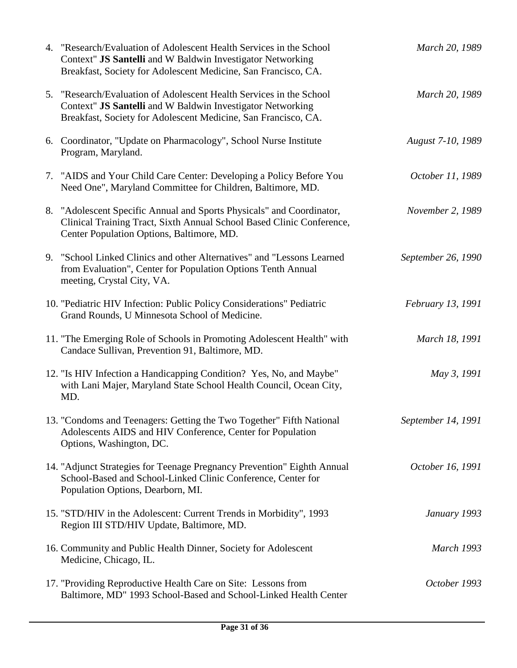| 4. "Research/Evaluation of Adolescent Health Services in the School<br>Context" JS Santelli and W Baldwin Investigator Networking<br>Breakfast, Society for Adolescent Medicine, San Francisco, CA. | March 20, 1989     |
|-----------------------------------------------------------------------------------------------------------------------------------------------------------------------------------------------------|--------------------|
| 5. "Research/Evaluation of Adolescent Health Services in the School<br>Context" JS Santelli and W Baldwin Investigator Networking<br>Breakfast, Society for Adolescent Medicine, San Francisco, CA. | March 20, 1989     |
| 6. Coordinator, "Update on Pharmacology", School Nurse Institute<br>Program, Maryland.                                                                                                              | August 7-10, 1989  |
| 7. "AIDS and Your Child Care Center: Developing a Policy Before You<br>Need One", Maryland Committee for Children, Baltimore, MD.                                                                   | October 11, 1989   |
| 8. "Adolescent Specific Annual and Sports Physicals" and Coordinator,<br>Clinical Training Tract, Sixth Annual School Based Clinic Conference,<br>Center Population Options, Baltimore, MD.         | November 2, 1989   |
| 9. "School Linked Clinics and other Alternatives" and "Lessons Learned"<br>from Evaluation", Center for Population Options Tenth Annual<br>meeting, Crystal City, VA.                               | September 26, 1990 |
| 10. "Pediatric HIV Infection: Public Policy Considerations" Pediatric<br>Grand Rounds, U Minnesota School of Medicine.                                                                              | February 13, 1991  |
| 11. "The Emerging Role of Schools in Promoting Adolescent Health" with<br>Candace Sullivan, Prevention 91, Baltimore, MD.                                                                           | March 18, 1991     |
| 12. "Is HIV Infection a Handicapping Condition? Yes, No, and Maybe"<br>with Lani Majer, Maryland State School Health Council, Ocean City,<br>MD.                                                    | May 3, 1991        |
| 13. "Condoms and Teenagers: Getting the Two Together" Fifth National<br>Adolescents AIDS and HIV Conference, Center for Population<br>Options, Washington, DC.                                      | September 14, 1991 |
| 14. "Adjunct Strategies for Teenage Pregnancy Prevention" Eighth Annual<br>School-Based and School-Linked Clinic Conference, Center for<br>Population Options, Dearborn, MI.                        | October 16, 1991   |
| 15. "STD/HIV in the Adolescent: Current Trends in Morbidity", 1993<br>Region III STD/HIV Update, Baltimore, MD.                                                                                     | January 1993       |
| 16. Community and Public Health Dinner, Society for Adolescent<br>Medicine, Chicago, IL.                                                                                                            | <b>March 1993</b>  |
| 17. "Providing Reproductive Health Care on Site: Lessons from<br>Baltimore, MD" 1993 School-Based and School-Linked Health Center                                                                   | October 1993       |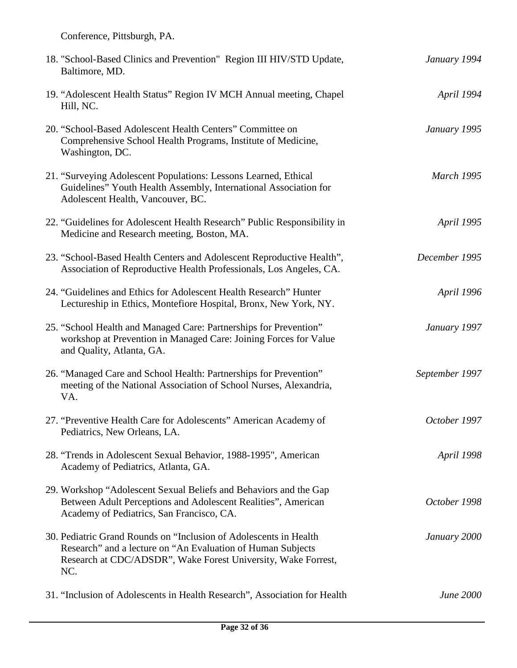Conference, Pittsburgh, PA.

| 18. "School-Based Clinics and Prevention" Region III HIV/STD Update,<br>Baltimore, MD.                                                                                                                   | January 1994      |
|----------------------------------------------------------------------------------------------------------------------------------------------------------------------------------------------------------|-------------------|
| 19. "Adolescent Health Status" Region IV MCH Annual meeting, Chapel<br>Hill, NC.                                                                                                                         | April 1994        |
| 20. "School-Based Adolescent Health Centers" Committee on<br>Comprehensive School Health Programs, Institute of Medicine,<br>Washington, DC.                                                             | January 1995      |
| 21. "Surveying Adolescent Populations: Lessons Learned, Ethical<br>Guidelines" Youth Health Assembly, International Association for<br>Adolescent Health, Vancouver, BC.                                 | <b>March 1995</b> |
| 22. "Guidelines for Adolescent Health Research" Public Responsibility in<br>Medicine and Research meeting, Boston, MA.                                                                                   | April 1995        |
| 23. "School-Based Health Centers and Adolescent Reproductive Health",<br>Association of Reproductive Health Professionals, Los Angeles, CA.                                                              | December 1995     |
| 24. "Guidelines and Ethics for Adolescent Health Research" Hunter<br>Lectureship in Ethics, Montefiore Hospital, Bronx, New York, NY.                                                                    | April 1996        |
| 25. "School Health and Managed Care: Partnerships for Prevention"<br>workshop at Prevention in Managed Care: Joining Forces for Value<br>and Quality, Atlanta, GA.                                       | January 1997      |
| 26. "Managed Care and School Health: Partnerships for Prevention"<br>meeting of the National Association of School Nurses, Alexandria,<br>VA.                                                            | September 1997    |
| 27. "Preventive Health Care for Adolescents" American Academy of<br>Pediatrics, New Orleans, LA.                                                                                                         | October 1997      |
| 28. "Trends in Adolescent Sexual Behavior, 1988-1995", American<br>Academy of Pediatrics, Atlanta, GA.                                                                                                   | <i>April 1998</i> |
| 29. Workshop "Adolescent Sexual Beliefs and Behaviors and the Gap<br>Between Adult Perceptions and Adolescent Realities", American<br>Academy of Pediatrics, San Francisco, CA.                          | October 1998      |
| 30. Pediatric Grand Rounds on "Inclusion of Adolescents in Health<br>Research" and a lecture on "An Evaluation of Human Subjects<br>Research at CDC/ADSDR", Wake Forest University, Wake Forrest,<br>NC. | January 2000      |
| 31. "Inclusion of Adolescents in Health Research", Association for Health                                                                                                                                | <b>June 2000</b>  |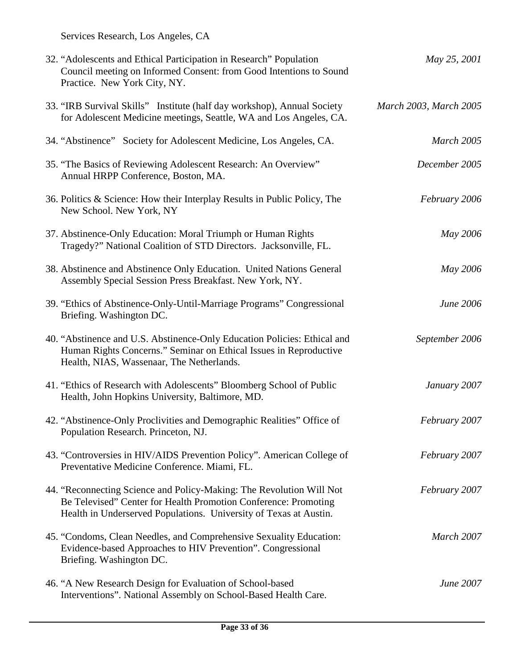Services Research, Los Angeles, CA

| 32. "Adolescents and Ethical Participation in Research" Population<br>Council meeting on Informed Consent: from Good Intentions to Sound<br>Practice. New York City, NY.                                     | May 25, 2001           |
|--------------------------------------------------------------------------------------------------------------------------------------------------------------------------------------------------------------|------------------------|
| 33. "IRB Survival Skills" Institute (half day workshop), Annual Society<br>for Adolescent Medicine meetings, Seattle, WA and Los Angeles, CA.                                                                | March 2003, March 2005 |
| 34. "Abstinence" Society for Adolescent Medicine, Los Angeles, CA.                                                                                                                                           | March 2005             |
| 35. "The Basics of Reviewing Adolescent Research: An Overview"<br>Annual HRPP Conference, Boston, MA.                                                                                                        | December 2005          |
| 36. Politics & Science: How their Interplay Results in Public Policy, The<br>New School. New York, NY                                                                                                        | February 2006          |
| 37. Abstinence-Only Education: Moral Triumph or Human Rights<br>Tragedy?" National Coalition of STD Directors. Jacksonville, FL.                                                                             | May 2006               |
| 38. Abstinence and Abstinence Only Education. United Nations General<br>Assembly Special Session Press Breakfast. New York, NY.                                                                              | May 2006               |
| 39. "Ethics of Abstinence-Only-Until-Marriage Programs" Congressional<br>Briefing. Washington DC.                                                                                                            | June 2006              |
| 40. "Abstinence and U.S. Abstinence-Only Education Policies: Ethical and<br>Human Rights Concerns." Seminar on Ethical Issues in Reproductive<br>Health, NIAS, Wassenaar, The Netherlands.                   | September 2006         |
| 41. "Ethics of Research with Adolescents" Bloomberg School of Public<br>Health, John Hopkins University, Baltimore, MD.                                                                                      | January 2007           |
| 42. "Abstinence-Only Proclivities and Demographic Realities" Office of<br>Population Research. Princeton, NJ.                                                                                                | February 2007          |
| 43. "Controversies in HIV/AIDS Prevention Policy". American College of<br>Preventative Medicine Conference. Miami, FL.                                                                                       | February 2007          |
| 44. "Reconnecting Science and Policy-Making: The Revolution Will Not<br>Be Televised" Center for Health Promotion Conference: Promoting<br>Health in Underserved Populations. University of Texas at Austin. | February 2007          |
| 45. "Condoms, Clean Needles, and Comprehensive Sexuality Education:<br>Evidence-based Approaches to HIV Prevention". Congressional<br>Briefing. Washington DC.                                               | March 2007             |
| 46. "A New Research Design for Evaluation of School-based<br>Interventions". National Assembly on School-Based Health Care.                                                                                  | June 2007              |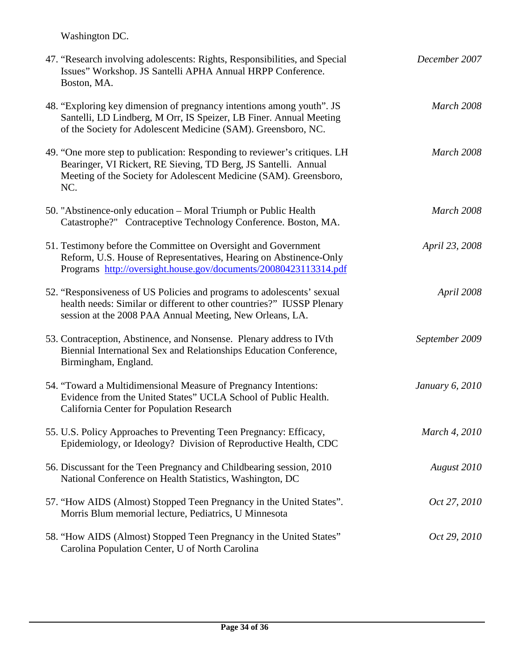Washington DC.

| 47. "Research involving adolescents: Rights, Responsibilities, and Special<br>Issues" Workshop. JS Santelli APHA Annual HRPP Conference.<br>Boston, MA.                                                                  | December 2007   |
|--------------------------------------------------------------------------------------------------------------------------------------------------------------------------------------------------------------------------|-----------------|
| 48. "Exploring key dimension of pregnancy intentions among youth". JS<br>Santelli, LD Lindberg, M Orr, IS Speizer, LB Finer. Annual Meeting<br>of the Society for Adolescent Medicine (SAM). Greensboro, NC.             | March 2008      |
| 49. "One more step to publication: Responding to reviewer's critiques. LH<br>Bearinger, VI Rickert, RE Sieving, TD Berg, JS Santelli. Annual<br>Meeting of the Society for Adolescent Medicine (SAM). Greensboro,<br>NC. | March 2008      |
| 50. "Abstinence-only education – Moral Triumph or Public Health<br>Catastrophe?" Contraceptive Technology Conference. Boston, MA.                                                                                        | March 2008      |
| 51. Testimony before the Committee on Oversight and Government<br>Reform, U.S. House of Representatives, Hearing on Abstinence-Only<br>Programs http://oversight.house.gov/documents/20080423113314.pdf                  | April 23, 2008  |
| 52. "Responsiveness of US Policies and programs to adolescents' sexual<br>health needs: Similar or different to other countries?" IUSSP Plenary<br>session at the 2008 PAA Annual Meeting, New Orleans, LA.              | April 2008      |
| 53. Contraception, Abstinence, and Nonsense. Plenary address to IVth<br>Biennial International Sex and Relationships Education Conference,<br>Birmingham, England.                                                       | September 2009  |
| 54. "Toward a Multidimensional Measure of Pregnancy Intentions:<br>Evidence from the United States" UCLA School of Public Health.<br>California Center for Population Research                                           | January 6, 2010 |
| 55. U.S. Policy Approaches to Preventing Teen Pregnancy: Efficacy,<br>Epidemiology, or Ideology? Division of Reproductive Health, CDC                                                                                    | March 4, 2010   |
| 56. Discussant for the Teen Pregnancy and Childbearing session, 2010<br>National Conference on Health Statistics, Washington, DC                                                                                         | August 2010     |
| 57. "How AIDS (Almost) Stopped Teen Pregnancy in the United States".<br>Morris Blum memorial lecture, Pediatrics, U Minnesota                                                                                            | Oct 27, 2010    |
| 58. "How AIDS (Almost) Stopped Teen Pregnancy in the United States"<br>Carolina Population Center, U of North Carolina                                                                                                   | Oct 29, 2010    |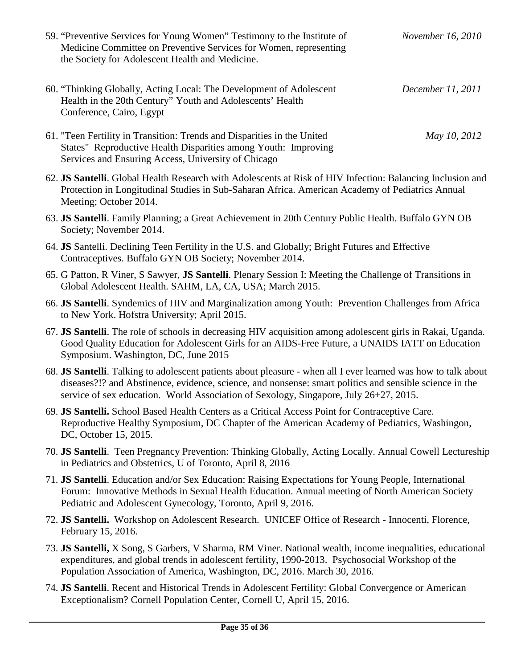| 59. "Preventive Services for Young Women" Testimony to the Institute of<br>Medicine Committee on Preventive Services for Women, representing<br>the Society for Adolescent Health and Medicine.                                                                                                                    | November 16, 2010 |
|--------------------------------------------------------------------------------------------------------------------------------------------------------------------------------------------------------------------------------------------------------------------------------------------------------------------|-------------------|
| 60. "Thinking Globally, Acting Local: The Development of Adolescent<br>Health in the 20th Century" Youth and Adolescents' Health<br>Conference, Cairo, Egypt                                                                                                                                                       | December 11, 2011 |
| 61. "Teen Fertility in Transition: Trends and Disparities in the United<br>States" Reproductive Health Disparities among Youth: Improving<br>Services and Ensuring Access, University of Chicago                                                                                                                   | May 10, 2012      |
| 62. JS Santelli. Global Health Research with Adolescents at Risk of HIV Infection: Balancing Inclusion and<br>Protection in Longitudinal Studies in Sub-Saharan Africa. American Academy of Pediatrics Annual<br>Meeting; October 2014.                                                                            |                   |
| 63. JS Santelli. Family Planning; a Great Achievement in 20th Century Public Health. Buffalo GYN OB<br>Society; November 2014.                                                                                                                                                                                     |                   |
| 64. JS Santelli. Declining Teen Fertility in the U.S. and Globally; Bright Futures and Effective<br>Contraceptives. Buffalo GYN OB Society; November 2014.                                                                                                                                                         |                   |
| 65. G Patton, R Viner, S Sawyer, JS Santelli. Plenary Session I: Meeting the Challenge of Transitions in<br>Global Adolescent Health. SAHM, LA, CA, USA; March 2015.                                                                                                                                               |                   |
| 66. JS Santelli. Syndemics of HIV and Marginalization among Youth: Prevention Challenges from Africa<br>to New York. Hofstra University; April 2015.                                                                                                                                                               |                   |
| 67. JS Santelli. The role of schools in decreasing HIV acquisition among adolescent girls in Rakai, Uganda.<br>Good Quality Education for Adolescent Girls for an AIDS-Free Future, a UNAIDS IATT on Education<br>Symposium. Washington, DC, June 2015                                                             |                   |
| 68. JS Santelli. Talking to adolescent patients about pleasure - when all I ever learned was how to talk about<br>diseases?!? and Abstinence, evidence, science, and nonsense: smart politics and sensible science in the<br>service of sex education. World Association of Sexology, Singapore, July 26+27, 2015. |                   |
| 69. JS Santelli. School Based Health Centers as a Critical Access Point for Contraceptive Care.<br>Reproductive Healthy Symposium, DC Chapter of the American Academy of Pediatrics, Washingon,<br>DC, October 15, 2015.                                                                                           |                   |
| 70. JS Santelli. Teen Pregnancy Prevention: Thinking Globally, Acting Locally. Annual Cowell Lectureship<br>in Pediatrics and Obstetrics, U of Toronto, April 8, 2016                                                                                                                                              |                   |
| 71. JS Santelli. Education and/or Sex Education: Raising Expectations for Young People, International<br>Forum: Innovative Methods in Sexual Health Education. Annual meeting of North American Society<br>Pediatric and Adolescent Gynecology, Toronto, April 9, 2016.                                            |                   |
| 72. JS Santelli. Workshop on Adolescent Research. UNICEF Office of Research - Innocenti, Florence,<br>February 15, 2016.                                                                                                                                                                                           |                   |
| 73. JS Santelli, X Song, S Garbers, V Sharma, RM Viner. National wealth, income inequalities, educational<br>expenditures, and global trends in adolescent fertility, 1990-2013. Psychosocial Workshop of the<br>Population Association of America, Washington, DC, 2016. March 30, 2016.                          |                   |
| 74. JS Santelli. Recent and Historical Trends in Adolescent Fertility: Global Convergence or American<br>Exceptionalism? Cornell Population Center, Cornell U, April 15, 2016.                                                                                                                                     |                   |